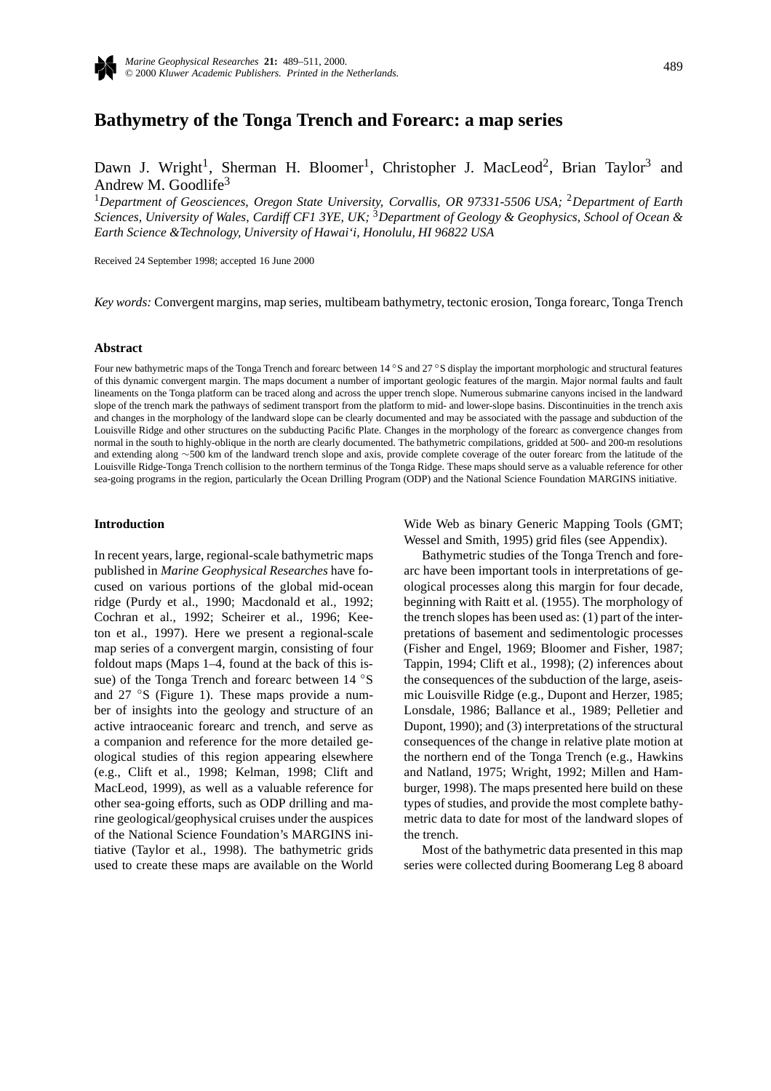

# **Bathymetry of the Tonga Trench and Forearc: a map series**

Dawn J. Wright<sup>1</sup>, Sherman H. Bloomer<sup>1</sup>, Christopher J. MacLeod<sup>2</sup>, Brian Taylor<sup>3</sup> and Andrew M. Goodlife<sup>3</sup>

<sup>1</sup>*Department of Geosciences, Oregon State University, Corvallis, OR 97331-5506 USA;* <sup>2</sup>*Department of Earth Sciences, University of Wales, Cardiff CF1 3YE, UK;* <sup>3</sup>*Department of Geology & Geophysics, School of Ocean & Earth Science &Technology, University of Hawai'i, Honolulu, HI 96822 USA*

Received 24 September 1998; accepted 16 June 2000

*Key words:* Convergent margins, map series, multibeam bathymetry, tectonic erosion, Tonga forearc, Tonga Trench

### **Abstract**

Four new bathymetric maps of the Tonga Trench and forearc between 14 ◦S and 27 ◦S display the important morphologic and structural features of this dynamic convergent margin. The maps document a number of important geologic features of the margin. Major normal faults and fault lineaments on the Tonga platform can be traced along and across the upper trench slope. Numerous submarine canyons incised in the landward slope of the trench mark the pathways of sediment transport from the platform to mid- and lower-slope basins. Discontinuities in the trench axis and changes in the morphology of the landward slope can be clearly documented and may be associated with the passage and subduction of the Louisville Ridge and other structures on the subducting Pacific Plate. Changes in the morphology of the forearc as convergence changes from normal in the south to highly-oblique in the north are clearly documented. The bathymetric compilations, gridded at 500- and 200-m resolutions and extending along ∼500 km of the landward trench slope and axis, provide complete coverage of the outer forearc from the latitude of the Louisville Ridge-Tonga Trench collision to the northern terminus of the Tonga Ridge. These maps should serve as a valuable reference for other sea-going programs in the region, particularly the Ocean Drilling Program (ODP) and the National Science Foundation MARGINS initiative.

### **Introduction**

In recent years, large, regional-scale bathymetric maps published in *Marine Geophysical Researches* have focused on various portions of the global mid-ocean ridge (Purdy et al., 1990; Macdonald et al., 1992; Cochran et al., 1992; Scheirer et al., 1996; Keeton et al., 1997). Here we present a regional-scale map series of a convergent margin, consisting of four foldout maps (Maps 1–4, found at the back of this issue) of the Tonga Trench and forearc between 14 °S and 27 ◦S (Figure 1). These maps provide a number of insights into the geology and structure of an active intraoceanic forearc and trench, and serve as a companion and reference for the more detailed geological studies of this region appearing elsewhere (e.g., Clift et al., 1998; Kelman, 1998; Clift and MacLeod, 1999), as well as a valuable reference for other sea-going efforts, such as ODP drilling and marine geological/geophysical cruises under the auspices of the National Science Foundation's MARGINS initiative (Taylor et al., 1998). The bathymetric grids used to create these maps are available on the World Wide Web as binary Generic Mapping Tools (GMT; Wessel and Smith, 1995) grid files (see Appendix).

Bathymetric studies of the Tonga Trench and forearc have been important tools in interpretations of geological processes along this margin for four decade, beginning with Raitt et al. (1955). The morphology of the trench slopes has been used as: (1) part of the interpretations of basement and sedimentologic processes (Fisher and Engel, 1969; Bloomer and Fisher, 1987; Tappin, 1994; Clift et al., 1998); (2) inferences about the consequences of the subduction of the large, aseismic Louisville Ridge (e.g., Dupont and Herzer, 1985; Lonsdale, 1986; Ballance et al., 1989; Pelletier and Dupont, 1990); and (3) interpretations of the structural consequences of the change in relative plate motion at the northern end of the Tonga Trench (e.g., Hawkins and Natland, 1975; Wright, 1992; Millen and Hamburger, 1998). The maps presented here build on these types of studies, and provide the most complete bathymetric data to date for most of the landward slopes of the trench.

Most of the bathymetric data presented in this map series were collected during Boomerang Leg 8 aboard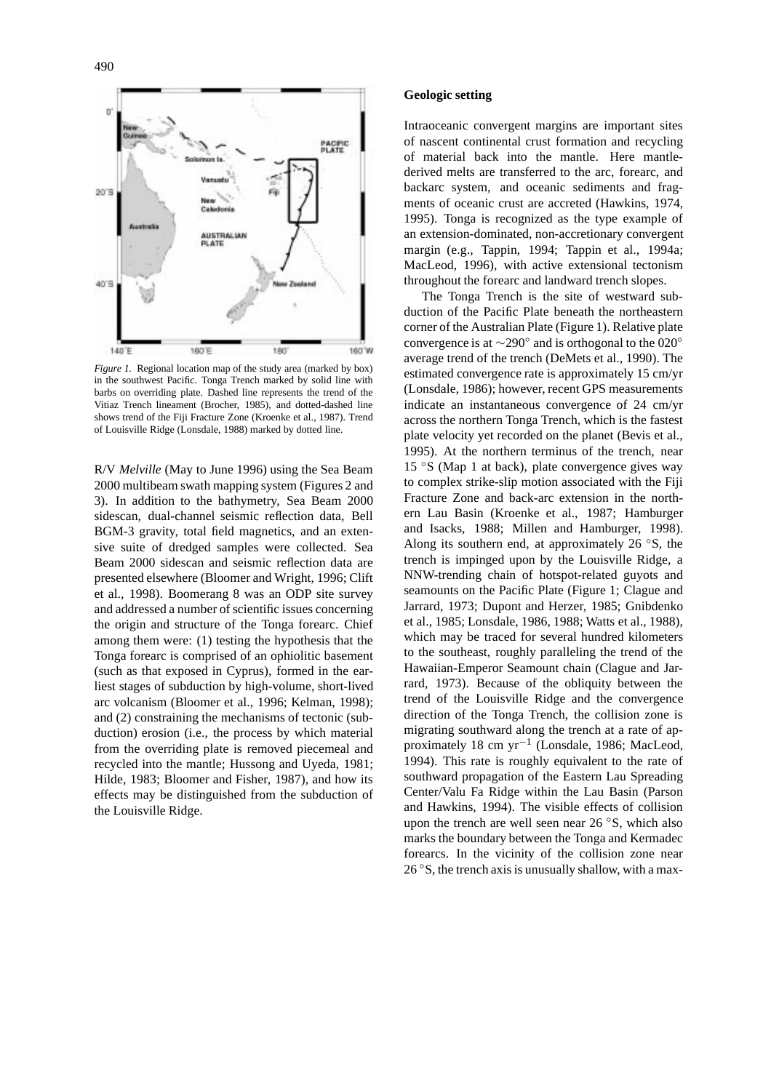

*Figure 1.* Regional location map of the study area (marked by box) in the southwest Pacific. Tonga Trench marked by solid line with barbs on overriding plate. Dashed line represents the trend of the Vitiaz Trench lineament (Brocher, 1985), and dotted-dashed line shows trend of the Fiji Fracture Zone (Kroenke et al., 1987). Trend of Louisville Ridge (Lonsdale, 1988) marked by dotted line.

R/V *Melville* (May to June 1996) using the Sea Beam 2000 multibeam swath mapping system (Figures 2 and 3). In addition to the bathymetry, Sea Beam 2000 sidescan, dual-channel seismic reflection data, Bell BGM-3 gravity, total field magnetics, and an extensive suite of dredged samples were collected. Sea Beam 2000 sidescan and seismic reflection data are presented elsewhere (Bloomer and Wright, 1996; Clift et al., 1998). Boomerang 8 was an ODP site survey and addressed a number of scientific issues concerning the origin and structure of the Tonga forearc. Chief among them were: (1) testing the hypothesis that the Tonga forearc is comprised of an ophiolitic basement (such as that exposed in Cyprus), formed in the earliest stages of subduction by high-volume, short-lived arc volcanism (Bloomer et al., 1996; Kelman, 1998); and (2) constraining the mechanisms of tectonic (subduction) erosion (i.e., the process by which material from the overriding plate is removed piecemeal and recycled into the mantle; Hussong and Uyeda, 1981; Hilde, 1983; Bloomer and Fisher, 1987), and how its effects may be distinguished from the subduction of the Louisville Ridge.

### **Geologic setting**

Intraoceanic convergent margins are important sites of nascent continental crust formation and recycling of material back into the mantle. Here mantlederived melts are transferred to the arc, forearc, and backarc system, and oceanic sediments and fragments of oceanic crust are accreted (Hawkins, 1974, 1995). Tonga is recognized as the type example of an extension-dominated, non-accretionary convergent margin (e.g., Tappin, 1994; Tappin et al., 1994a; MacLeod, 1996), with active extensional tectonism throughout the forearc and landward trench slopes.

The Tonga Trench is the site of westward subduction of the Pacific Plate beneath the northeastern corner of the Australian Plate (Figure 1). Relative plate convergence is at ∼290◦ and is orthogonal to the 020◦ average trend of the trench (DeMets et al., 1990). The estimated convergence rate is approximately 15 cm/yr (Lonsdale, 1986); however, recent GPS measurements indicate an instantaneous convergence of 24 cm/yr across the northern Tonga Trench, which is the fastest plate velocity yet recorded on the planet (Bevis et al., 1995). At the northern terminus of the trench, near 15 ◦S (Map 1 at back), plate convergence gives way to complex strike-slip motion associated with the Fiji Fracture Zone and back-arc extension in the northern Lau Basin (Kroenke et al., 1987; Hamburger and Isacks, 1988; Millen and Hamburger, 1998). Along its southern end, at approximately 26 ◦S, the trench is impinged upon by the Louisville Ridge, a NNW-trending chain of hotspot-related guyots and seamounts on the Pacific Plate (Figure 1; Clague and Jarrard, 1973; Dupont and Herzer, 1985; Gnibdenko et al., 1985; Lonsdale, 1986, 1988; Watts et al., 1988), which may be traced for several hundred kilometers to the southeast, roughly paralleling the trend of the Hawaiian-Emperor Seamount chain (Clague and Jarrard, 1973). Because of the obliquity between the trend of the Louisville Ridge and the convergence direction of the Tonga Trench, the collision zone is migrating southward along the trench at a rate of approximately 18 cm yr−<sup>1</sup> (Lonsdale, 1986; MacLeod, 1994). This rate is roughly equivalent to the rate of southward propagation of the Eastern Lau Spreading Center/Valu Fa Ridge within the Lau Basin (Parson and Hawkins, 1994). The visible effects of collision upon the trench are well seen near 26 ◦S, which also marks the boundary between the Tonga and Kermadec forearcs. In the vicinity of the collision zone near  $26^\circ$ S, the trench axis is unusually shallow, with a max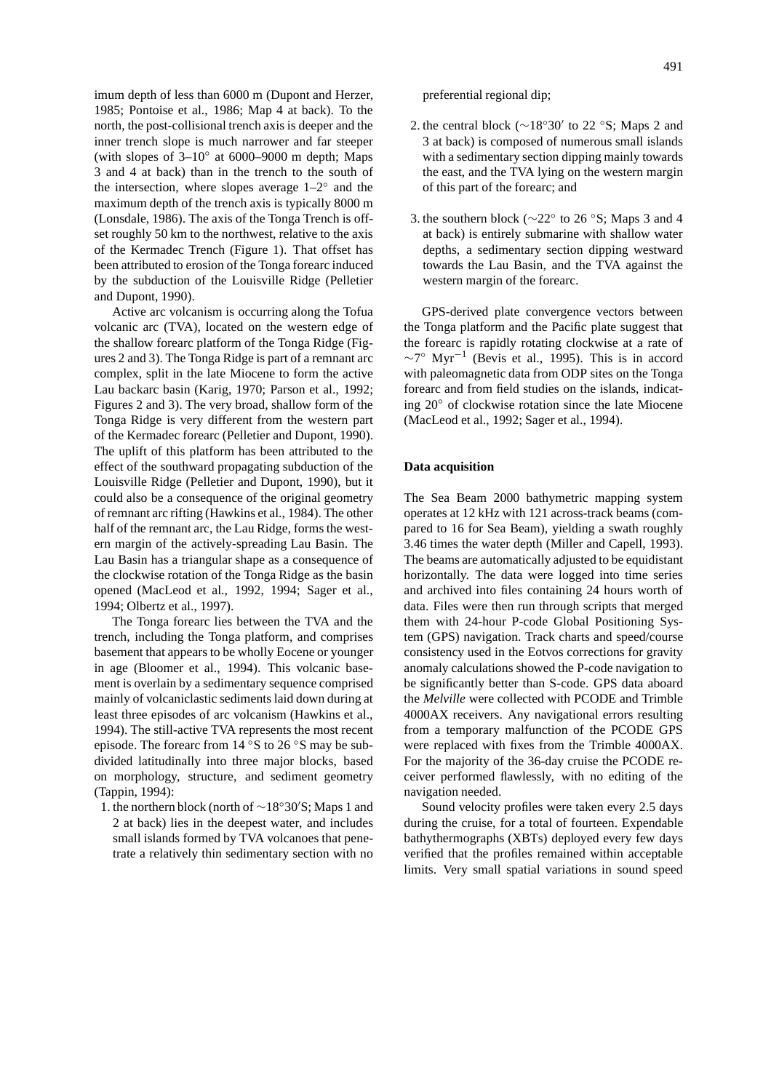imum depth of less than 6000 m (Dupont and Herzer, 1985; Pontoise et al., 1986; Map 4 at back). To the north, the post-collisional trench axis is deeper and the inner trench slope is much narrower and far steeper (with slopes of  $3-10°$  at 6000–9000 m depth; Maps 3 and 4 at back) than in the trench to the south of the intersection, where slopes average 1–2◦ and the maximum depth of the trench axis is typically 8000 m (Lonsdale, 1986). The axis of the Tonga Trench is offset roughly 50 km to the northwest, relative to the axis of the Kermadec Trench (Figure 1). That offset has been attributed to erosion of the Tonga forearc induced by the subduction of the Louisville Ridge (Pelletier and Dupont, 1990).

Active arc volcanism is occurring along the Tofua volcanic arc (TVA), located on the western edge of the shallow forearc platform of the Tonga Ridge (Figures 2 and 3). The Tonga Ridge is part of a remnant arc complex, split in the late Miocene to form the active Lau backarc basin (Karig, 1970; Parson et al., 1992; Figures 2 and 3). The very broad, shallow form of the Tonga Ridge is very different from the western part of the Kermadec forearc (Pelletier and Dupont, 1990). The uplift of this platform has been attributed to the effect of the southward propagating subduction of the Louisville Ridge (Pelletier and Dupont, 1990), but it could also be a consequence of the original geometry of remnant arc rifting (Hawkins et al., 1984). The other half of the remnant arc, the Lau Ridge, forms the western margin of the actively-spreading Lau Basin. The Lau Basin has a triangular shape as a consequence of the clockwise rotation of the Tonga Ridge as the basin opened (MacLeod et al., 1992, 1994; Sager et al., 1994; Olbertz et al., 1997).

The Tonga forearc lies between the TVA and the trench, including the Tonga platform, and comprises basement that appears to be wholly Eocene or younger in age (Bloomer et al., 1994). This volcanic basement is overlain by a sedimentary sequence comprised mainly of volcaniclastic sediments laid down during at least three episodes of arc volcanism (Hawkins et al., 1994). The still-active TVA represents the most recent episode. The forearc from 14 ◦S to 26 ◦S may be subdivided latitudinally into three major blocks, based on morphology, structure, and sediment geometry (Tappin, 1994):

1. the northern block (north of ∼18°30′S; Maps 1 and 2 at back) lies in the deepest water, and includes small islands formed by TVA volcanoes that penetrate a relatively thin sedimentary section with no preferential regional dip;

- 2. the central block ( $\sim$ 18°30' to 22 °S; Maps 2 and 3 at back) is composed of numerous small islands with a sedimentary section dipping mainly towards the east, and the TVA lying on the western margin of this part of the forearc; and
- 3. the southern block (∼22◦ to 26 ◦S; Maps 3 and 4 at back) is entirely submarine with shallow water depths, a sedimentary section dipping westward towards the Lau Basin, and the TVA against the western margin of the forearc.

GPS-derived plate convergence vectors between the Tonga platform and the Pacific plate suggest that the forearc is rapidly rotating clockwise at a rate of  $\sim$ 7° Myr<sup>-1</sup> (Bevis et al., 1995). This is in accord with paleomagnetic data from ODP sites on the Tonga forearc and from field studies on the islands, indicating 20◦ of clockwise rotation since the late Miocene (MacLeod et al., 1992; Sager et al., 1994).

#### **Data acquisition**

The Sea Beam 2000 bathymetric mapping system operates at 12 kHz with 121 across-track beams (compared to 16 for Sea Beam), yielding a swath roughly 3.46 times the water depth (Miller and Capell, 1993). The beams are automatically adjusted to be equidistant horizontally. The data were logged into time series and archived into files containing 24 hours worth of data. Files were then run through scripts that merged them with 24-hour P-code Global Positioning System (GPS) navigation. Track charts and speed/course consistency used in the Eotvos corrections for gravity anomaly calculations showed the P-code navigation to be significantly better than S-code. GPS data aboard the *Melville* were collected with PCODE and Trimble 4000AX receivers. Any navigational errors resulting from a temporary malfunction of the PCODE GPS were replaced with fixes from the Trimble 4000AX. For the majority of the 36-day cruise the PCODE receiver performed flawlessly, with no editing of the navigation needed.

Sound velocity profiles were taken every 2.5 days during the cruise, for a total of fourteen. Expendable bathythermographs (XBTs) deployed every few days verified that the profiles remained within acceptable limits. Very small spatial variations in sound speed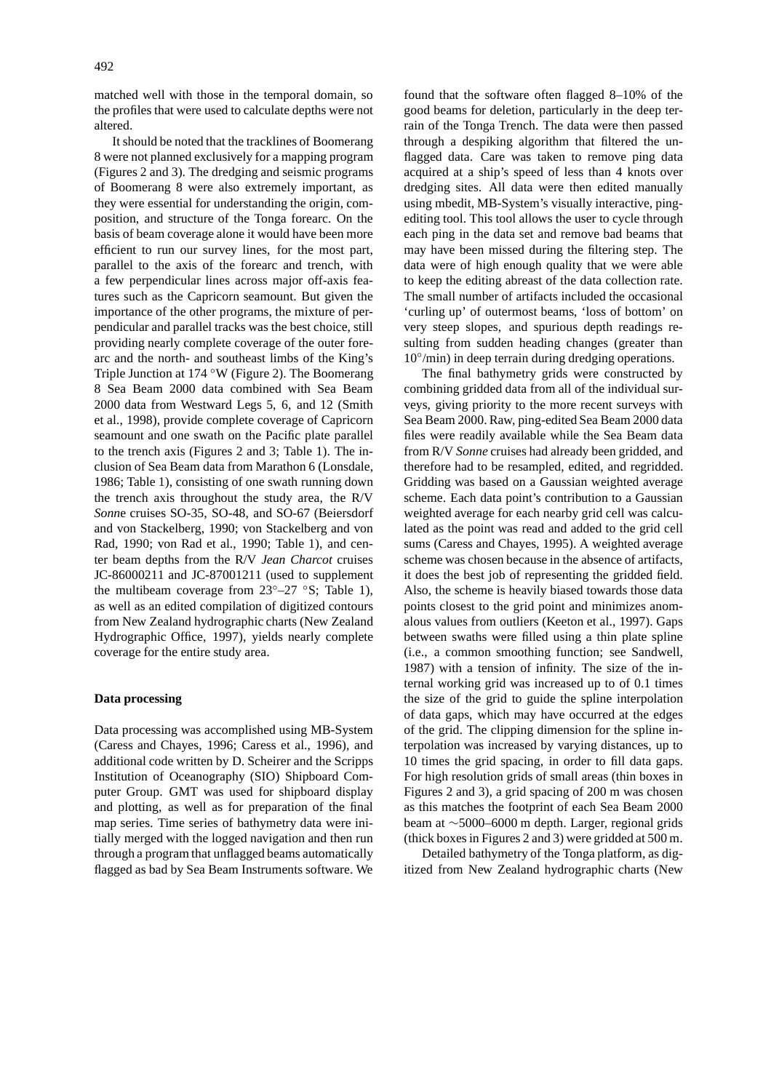matched well with those in the temporal domain, so the profiles that were used to calculate depths were not altered.

It should be noted that the tracklines of Boomerang 8 were not planned exclusively for a mapping program (Figures 2 and 3). The dredging and seismic programs of Boomerang 8 were also extremely important, as they were essential for understanding the origin, composition, and structure of the Tonga forearc. On the basis of beam coverage alone it would have been more efficient to run our survey lines, for the most part, parallel to the axis of the forearc and trench, with a few perpendicular lines across major off-axis features such as the Capricorn seamount. But given the importance of the other programs, the mixture of perpendicular and parallel tracks was the best choice, still providing nearly complete coverage of the outer forearc and the north- and southeast limbs of the King's Triple Junction at 174 ◦W (Figure 2). The Boomerang 8 Sea Beam 2000 data combined with Sea Beam 2000 data from Westward Legs 5, 6, and 12 (Smith et al., 1998), provide complete coverage of Capricorn seamount and one swath on the Pacific plate parallel to the trench axis (Figures 2 and 3; Table 1). The inclusion of Sea Beam data from Marathon 6 (Lonsdale, 1986; Table 1), consisting of one swath running down the trench axis throughout the study area, the R/V *Sonn*e cruises SO-35, SO-48, and SO-67 (Beiersdorf and von Stackelberg, 1990; von Stackelberg and von Rad, 1990; von Rad et al., 1990; Table 1), and center beam depths from the R/V *Jean Charcot* cruises JC-86000211 and JC-87001211 (used to supplement the multibeam coverage from  $23^{\circ}-27$  °S; Table 1), as well as an edited compilation of digitized contours from New Zealand hydrographic charts (New Zealand Hydrographic Office, 1997), yields nearly complete coverage for the entire study area.

### **Data processing**

Data processing was accomplished using MB-System (Caress and Chayes, 1996; Caress et al., 1996), and additional code written by D. Scheirer and the Scripps Institution of Oceanography (SIO) Shipboard Computer Group. GMT was used for shipboard display and plotting, as well as for preparation of the final map series. Time series of bathymetry data were initially merged with the logged navigation and then run through a program that unflagged beams automatically flagged as bad by Sea Beam Instruments software. We found that the software often flagged 8–10% of the good beams for deletion, particularly in the deep terrain of the Tonga Trench. The data were then passed through a despiking algorithm that filtered the unflagged data. Care was taken to remove ping data acquired at a ship's speed of less than 4 knots over dredging sites. All data were then edited manually using mbedit, MB-System's visually interactive, pingediting tool. This tool allows the user to cycle through each ping in the data set and remove bad beams that may have been missed during the filtering step. The data were of high enough quality that we were able to keep the editing abreast of the data collection rate. The small number of artifacts included the occasional 'curling up' of outermost beams, 'loss of bottom' on very steep slopes, and spurious depth readings resulting from sudden heading changes (greater than  $10°/min$ ) in deep terrain during dredging operations.

The final bathymetry grids were constructed by combining gridded data from all of the individual surveys, giving priority to the more recent surveys with Sea Beam 2000. Raw, ping-edited Sea Beam 2000 data files were readily available while the Sea Beam data from R/V *Sonne* cruises had already been gridded, and therefore had to be resampled, edited, and regridded. Gridding was based on a Gaussian weighted average scheme. Each data point's contribution to a Gaussian weighted average for each nearby grid cell was calculated as the point was read and added to the grid cell sums (Caress and Chayes, 1995). A weighted average scheme was chosen because in the absence of artifacts, it does the best job of representing the gridded field. Also, the scheme is heavily biased towards those data points closest to the grid point and minimizes anomalous values from outliers (Keeton et al., 1997). Gaps between swaths were filled using a thin plate spline (i.e., a common smoothing function; see Sandwell, 1987) with a tension of infinity. The size of the internal working grid was increased up to of 0.1 times the size of the grid to guide the spline interpolation of data gaps, which may have occurred at the edges of the grid. The clipping dimension for the spline interpolation was increased by varying distances, up to 10 times the grid spacing, in order to fill data gaps. For high resolution grids of small areas (thin boxes in Figures 2 and 3), a grid spacing of 200 m was chosen as this matches the footprint of each Sea Beam 2000 beam at ∼5000–6000 m depth. Larger, regional grids (thick boxes in Figures 2 and 3) were gridded at 500 m.

Detailed bathymetry of the Tonga platform, as digitized from New Zealand hydrographic charts (New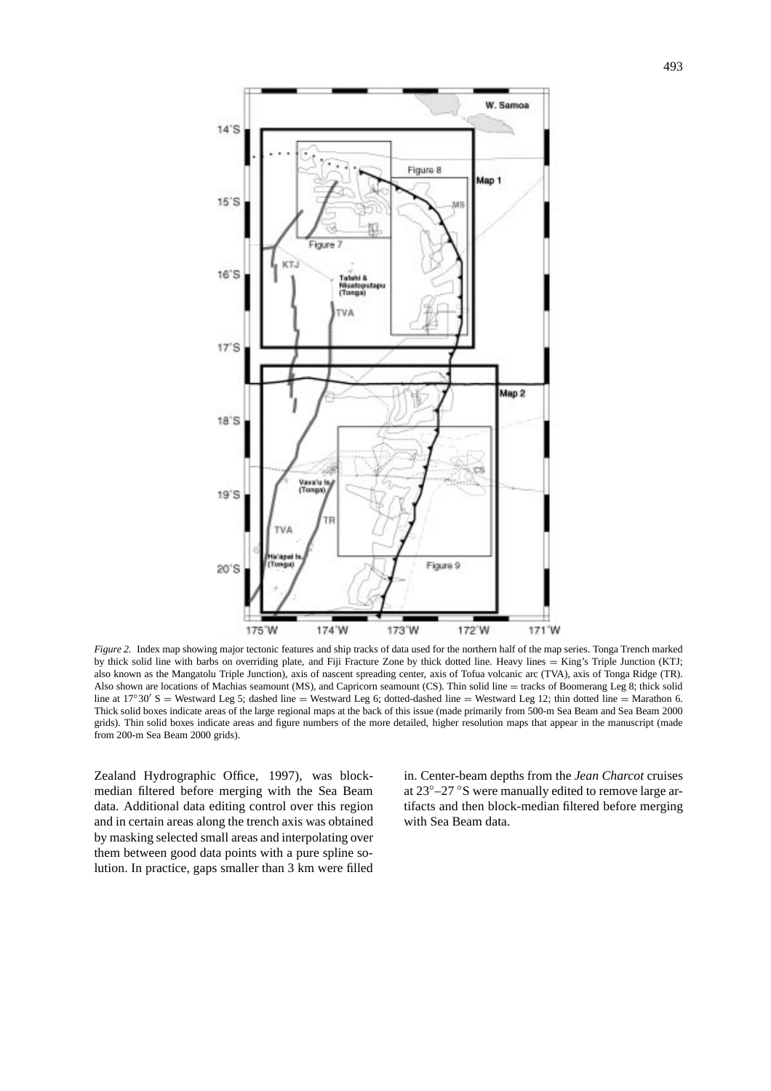

*Figure 2.* Index map showing major tectonic features and ship tracks of data used for the northern half of the map series. Tonga Trench marked by thick solid line with barbs on overriding plate, and Fiji Fracture Zone by thick dotted line. Heavy lines = King's Triple Junction (KTJ; also known as the Mangatolu Triple Junction), axis of nascent spreading center, axis of Tofua volcanic arc (TVA), axis of Tonga Ridge (TR). Also shown are locations of Machias seamount (MS), and Capricorn seamount (CS). Thin solid line = tracks of Boomerang Leg 8; thick solid line at  $17°30'$  S = Westward Leg 5; dashed line = Westward Leg 6; dotted-dashed line = Westward Leg 12; thin dotted line = Marathon 6. Thick solid boxes indicate areas of the large regional maps at the back of this issue (made primarily from 500-m Sea Beam and Sea Beam 2000 grids). Thin solid boxes indicate areas and figure numbers of the more detailed, higher resolution maps that appear in the manuscript (made from 200-m Sea Beam 2000 grids).

Zealand Hydrographic Office, 1997), was blockmedian filtered before merging with the Sea Beam data. Additional data editing control over this region and in certain areas along the trench axis was obtained by masking selected small areas and interpolating over them between good data points with a pure spline solution. In practice, gaps smaller than 3 km were filled

in. Center-beam depths from the *Jean Charcot* cruises at 23◦–27 ◦S were manually edited to remove large artifacts and then block-median filtered before merging with Sea Beam data.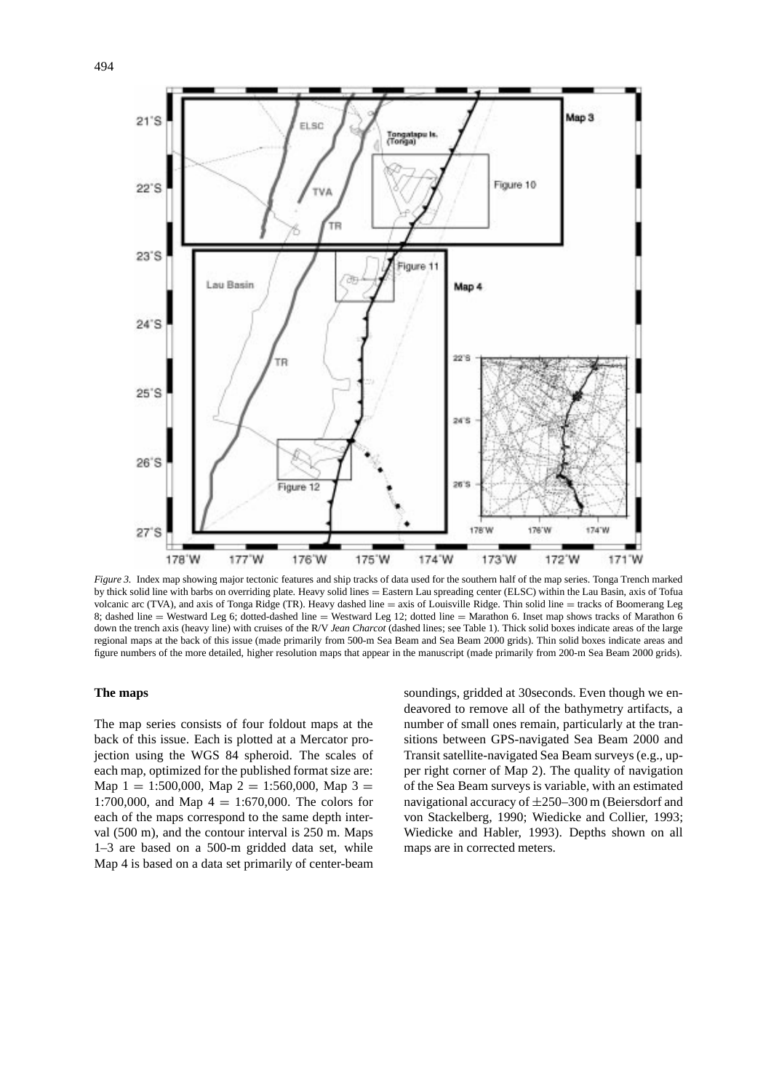

*Figure 3.* Index map showing major tectonic features and ship tracks of data used for the southern half of the map series. Tonga Trench marked by thick solid line with barbs on overriding plate. Heavy solid lines = Eastern Lau spreading center (ELSC) within the Lau Basin, axis of Tofua volcanic arc (TVA), and axis of Tonga Ridge (TR). Heavy dashed line = axis of Louisville Ridge. Thin solid line = tracks of Boomerang Leg 8; dashed line = Westward Leg 6; dotted-dashed line = Westward Leg 12; dotted line = Marathon 6. Inset map shows tracks of Marathon 6 down the trench axis (heavy line) with cruises of the R/V *Jean Charcot* (dashed lines; see Table 1). Thick solid boxes indicate areas of the large regional maps at the back of this issue (made primarily from 500-m Sea Beam and Sea Beam 2000 grids). Thin solid boxes indicate areas and figure numbers of the more detailed, higher resolution maps that appear in the manuscript (made primarily from 200-m Sea Beam 2000 grids).

### **The maps**

The map series consists of four foldout maps at the back of this issue. Each is plotted at a Mercator projection using the WGS 84 spheroid. The scales of each map, optimized for the published format size are: Map  $1 = 1:500,000$ , Map  $2 = 1:560,000$ , Map  $3 =$ 1:700,000, and Map  $4 = 1:670,000$ . The colors for each of the maps correspond to the same depth interval (500 m), and the contour interval is 250 m. Maps 1–3 are based on a 500-m gridded data set, while Map 4 is based on a data set primarily of center-beam

soundings, gridded at 30seconds. Even though we endeavored to remove all of the bathymetry artifacts, a number of small ones remain, particularly at the transitions between GPS-navigated Sea Beam 2000 and Transit satellite-navigated Sea Beam surveys (e.g., upper right corner of Map 2). The quality of navigation of the Sea Beam surveys is variable, with an estimated navigational accuracy of ±250–300 m (Beiersdorf and von Stackelberg, 1990; Wiedicke and Collier, 1993; Wiedicke and Habler, 1993). Depths shown on all maps are in corrected meters.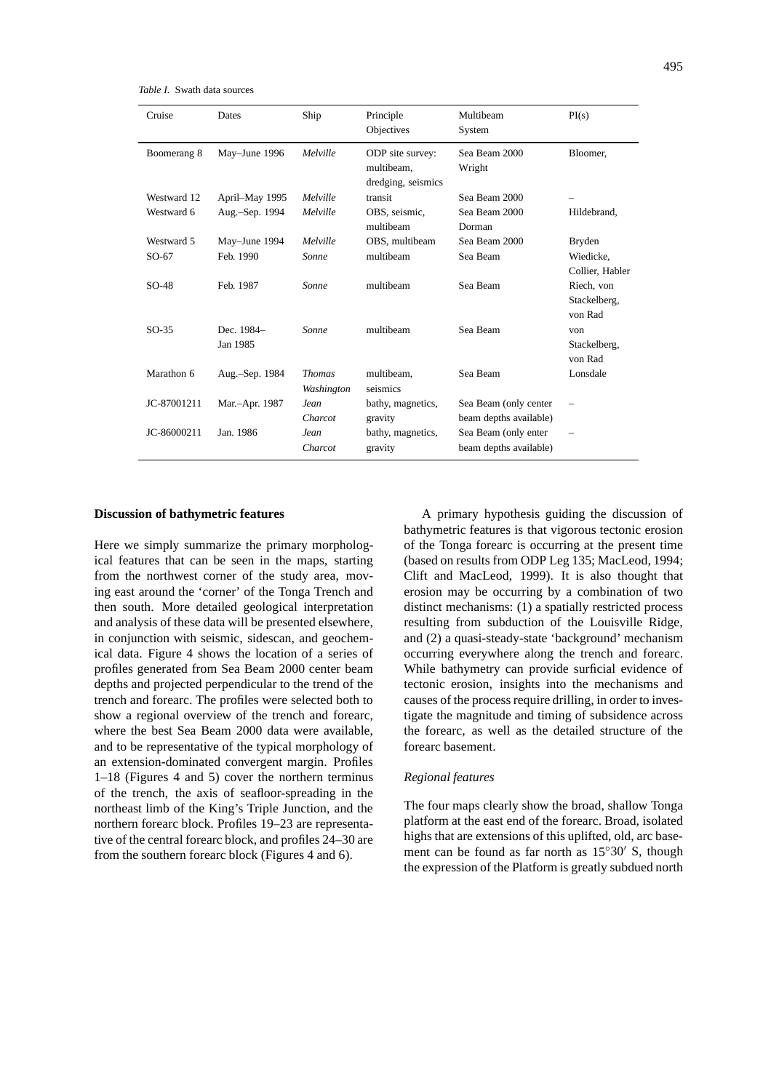*Table I.* Swath data sources

| Cruise      | Dates                  | Ship                        | Principle<br>Objectives                              | Multibeam<br>System                             | PI(s)                                 |
|-------------|------------------------|-----------------------------|------------------------------------------------------|-------------------------------------------------|---------------------------------------|
| Boomerang 8 | May-June 1996          | Melville                    | ODP site survey:<br>multibeam.<br>dredging, seismics | Sea Beam 2000<br>Wright                         | Bloomer,                              |
| Westward 12 | April–May 1995         | Melville                    | transit                                              | Sea Beam 2000                                   |                                       |
| Westward 6  | Aug.-Sep. 1994         | Melville                    | OBS, seismic,<br>multibeam                           | Sea Beam 2000<br>Dorman                         | Hildebrand,                           |
| Westward 5  | May-June 1994          | Melville                    | OBS, multibeam                                       | Sea Beam 2000                                   | <b>Bryden</b>                         |
| $SO-67$     | Feb. 1990              | Sonne                       | multibeam                                            | Sea Beam                                        | Wiedicke.<br>Collier, Habler          |
| $SO-48$     | Feb. 1987              | Sonne                       | multibeam                                            | Sea Beam                                        | Riech, von<br>Stackelberg,<br>von Rad |
| $SO-35$     | Dec. 1984-<br>Jan 1985 | Sonne                       | multibeam                                            | Sea Beam                                        | von<br>Stackelberg,<br>von Rad        |
| Marathon 6  | Aug.-Sep. 1984         | <b>Thomas</b><br>Washington | multibeam.<br>seismics                               | Sea Beam                                        | Lonsdale                              |
| JC-87001211 | Mar.-Apr. 1987         | Jean<br>Charcot             | bathy, magnetics,<br>gravity                         | Sea Beam (only center<br>beam depths available) | $\qquad \qquad -$                     |
| JC-86000211 | Jan. 1986              | Jean<br>Charcot             | bathy, magnetics,<br>gravity                         | Sea Beam (only enter<br>beam depths available)  | $\overline{\phantom{0}}$              |

#### **Discussion of bathymetric features**

Here we simply summarize the primary morphological features that can be seen in the maps, starting from the northwest corner of the study area, moving east around the 'corner' of the Tonga Trench and then south. More detailed geological interpretation and analysis of these data will be presented elsewhere, in conjunction with seismic, sidescan, and geochemical data. Figure 4 shows the location of a series of profiles generated from Sea Beam 2000 center beam depths and projected perpendicular to the trend of the trench and forearc. The profiles were selected both to show a regional overview of the trench and forearc, where the best Sea Beam 2000 data were available, and to be representative of the typical morphology of an extension-dominated convergent margin. Profiles 1–18 (Figures 4 and 5) cover the northern terminus of the trench, the axis of seafloor-spreading in the northeast limb of the King's Triple Junction, and the northern forearc block. Profiles 19–23 are representative of the central forearc block, and profiles 24–30 are from the southern forearc block (Figures 4 and 6).

A primary hypothesis guiding the discussion of bathymetric features is that vigorous tectonic erosion of the Tonga forearc is occurring at the present time (based on results from ODP Leg 135; MacLeod, 1994; Clift and MacLeod, 1999). It is also thought that erosion may be occurring by a combination of two distinct mechanisms: (1) a spatially restricted process resulting from subduction of the Louisville Ridge, and (2) a quasi-steady-state 'background' mechanism occurring everywhere along the trench and forearc. While bathymetry can provide surficial evidence of tectonic erosion, insights into the mechanisms and causes of the process require drilling, in order to investigate the magnitude and timing of subsidence across the forearc, as well as the detailed structure of the forearc basement.

### *Regional features*

The four maps clearly show the broad, shallow Tonga platform at the east end of the forearc. Broad, isolated highs that are extensions of this uplifted, old, arc basement can be found as far north as  $15°30'$  S, though the expression of the Platform is greatly subdued north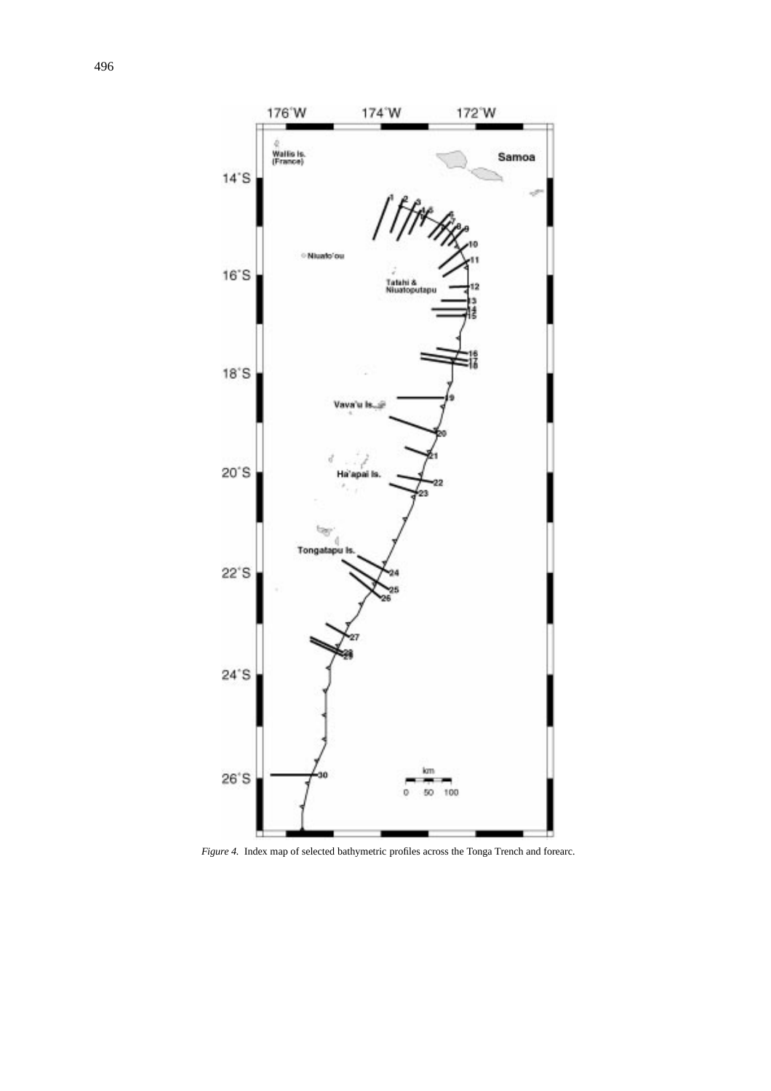

*Figure 4.* Index map of selected bathymetric profiles across the Tonga Trench and forearc.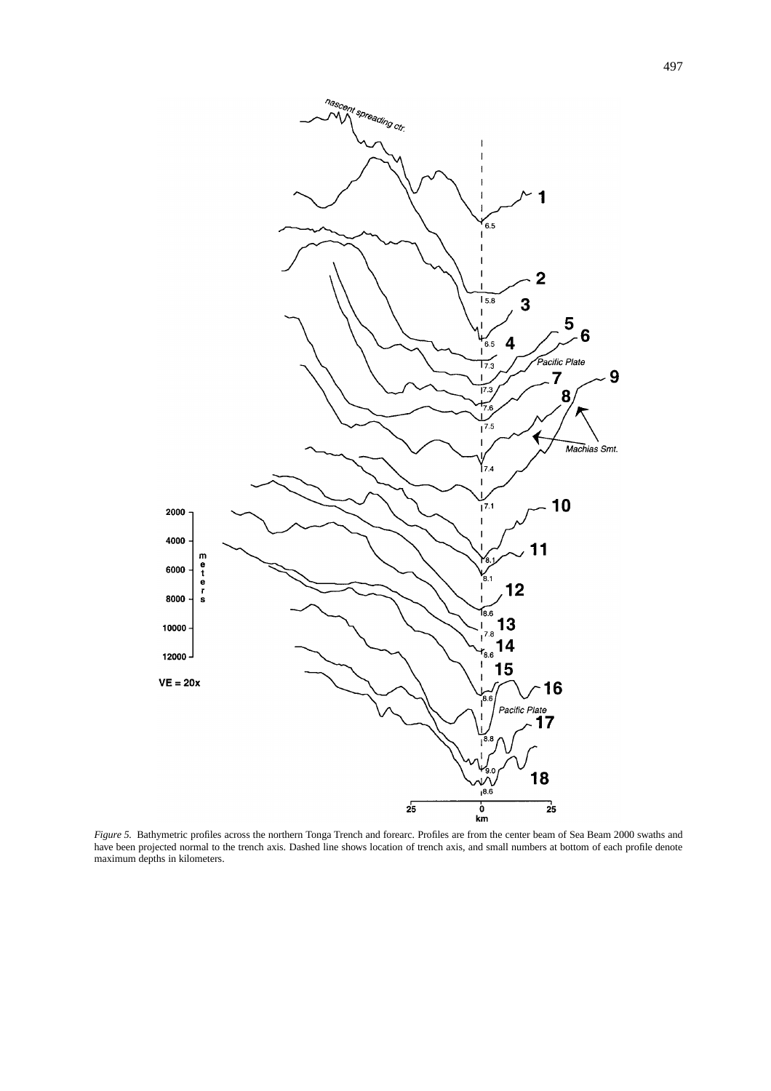

*Figure 5.* Bathymetric profiles across the northern Tonga Trench and forearc. Profiles are from the center beam of Sea Beam 2000 swaths and have been projected normal to the trench axis. Dashed line shows location of trench axis, and small numbers at bottom of each profile denote maximum depths in kilometers.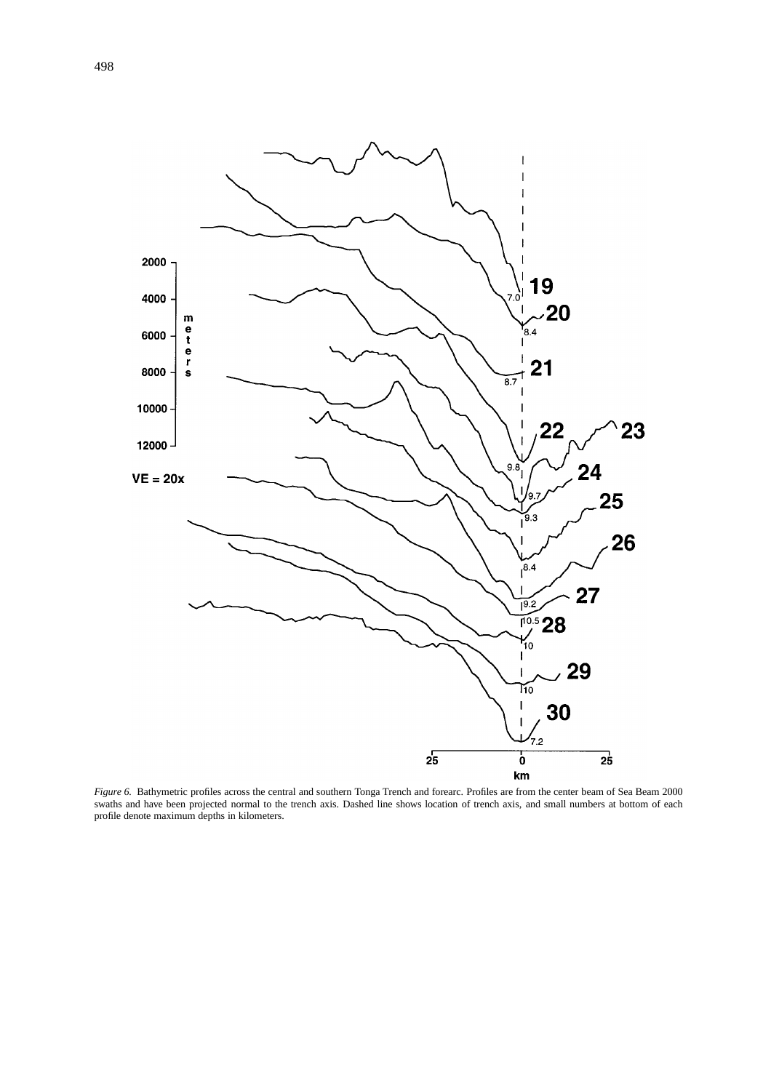

*Figure 6.* Bathymetric profiles across the central and southern Tonga Trench and forearc. Profiles are from the center beam of Sea Beam 2000 swaths and have been projected normal to the trench axis. Dashed line shows location of trench axis, and small numbers at bottom of each profile denote maximum depths in kilometers.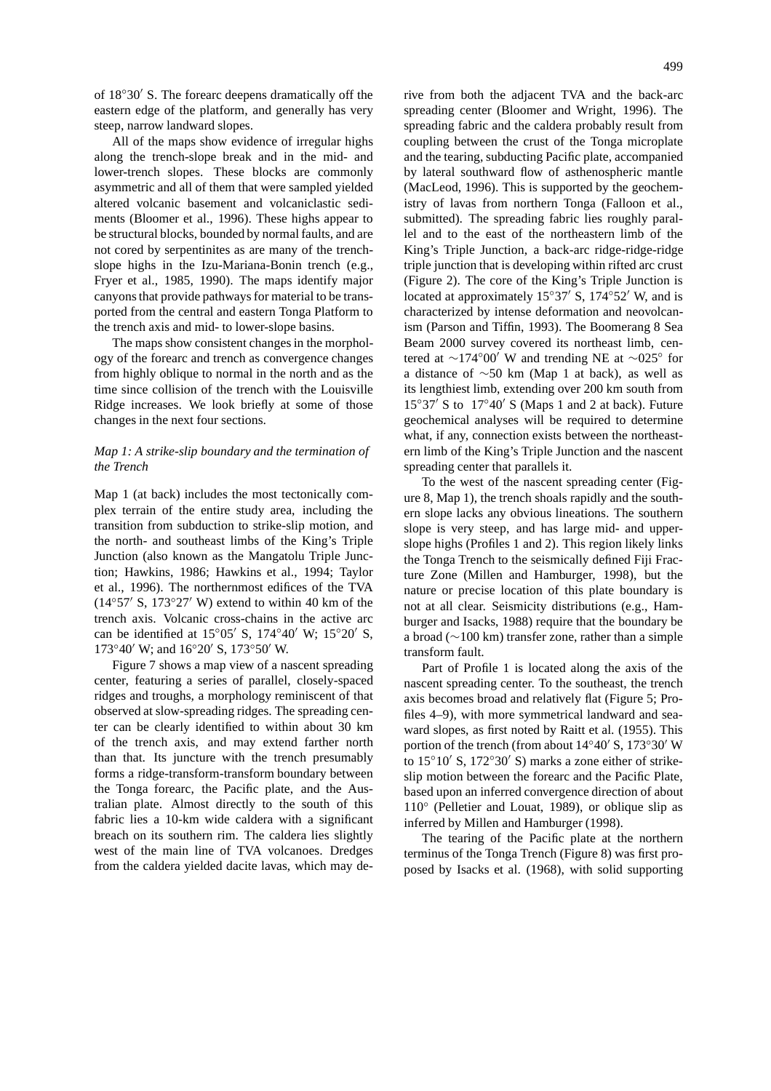of  $18°30'$  S. The forearc deepens dramatically off the eastern edge of the platform, and generally has very steep, narrow landward slopes.

All of the maps show evidence of irregular highs along the trench-slope break and in the mid- and lower-trench slopes. These blocks are commonly asymmetric and all of them that were sampled yielded altered volcanic basement and volcaniclastic sediments (Bloomer et al., 1996). These highs appear to be structural blocks, bounded by normal faults, and are not cored by serpentinites as are many of the trenchslope highs in the Izu-Mariana-Bonin trench (e.g., Fryer et al., 1985, 1990). The maps identify major canyons that provide pathways for material to be transported from the central and eastern Tonga Platform to the trench axis and mid- to lower-slope basins.

The maps show consistent changes in the morphology of the forearc and trench as convergence changes from highly oblique to normal in the north and as the time since collision of the trench with the Louisville Ridge increases. We look briefly at some of those changes in the next four sections.

## *Map 1: A strike-slip boundary and the termination of the Trench*

Map 1 (at back) includes the most tectonically complex terrain of the entire study area, including the transition from subduction to strike-slip motion, and the north- and southeast limbs of the King's Triple Junction (also known as the Mangatolu Triple Junction; Hawkins, 1986; Hawkins et al., 1994; Taylor et al., 1996). The northernmost edifices of the TVA  $(14°57′ S, 173°27′ W)$  extend to within 40 km of the trench axis. Volcanic cross-chains in the active arc can be identified at  $15°05'$  S,  $174°40'$  W;  $15°20'$  S,  $173°40'$  W; and  $16°20'$  S,  $173°50'$  W.

Figure 7 shows a map view of a nascent spreading center, featuring a series of parallel, closely-spaced ridges and troughs, a morphology reminiscent of that observed at slow-spreading ridges. The spreading center can be clearly identified to within about 30 km of the trench axis, and may extend farther north than that. Its juncture with the trench presumably forms a ridge-transform-transform boundary between the Tonga forearc, the Pacific plate, and the Australian plate. Almost directly to the south of this fabric lies a 10-km wide caldera with a significant breach on its southern rim. The caldera lies slightly west of the main line of TVA volcanoes. Dredges from the caldera yielded dacite lavas, which may derive from both the adjacent TVA and the back-arc spreading center (Bloomer and Wright, 1996). The spreading fabric and the caldera probably result from coupling between the crust of the Tonga microplate and the tearing, subducting Pacific plate, accompanied by lateral southward flow of asthenospheric mantle (MacLeod, 1996). This is supported by the geochemistry of lavas from northern Tonga (Falloon et al., submitted). The spreading fabric lies roughly parallel and to the east of the northeastern limb of the King's Triple Junction, a back-arc ridge-ridge-ridge triple junction that is developing within rifted arc crust (Figure 2). The core of the King's Triple Junction is located at approximately  $15°37'$  S,  $174°52'$  W, and is characterized by intense deformation and neovolcanism (Parson and Tiffin, 1993). The Boomerang 8 Sea Beam 2000 survey covered its northeast limb, centered at ∼174°00′ W and trending NE at ∼025° for a distance of ∼50 km (Map 1 at back), as well as its lengthiest limb, extending over 200 km south from  $15°37'$  S to  $17°40'$  S (Maps 1 and 2 at back). Future geochemical analyses will be required to determine what, if any, connection exists between the northeastern limb of the King's Triple Junction and the nascent spreading center that parallels it.

To the west of the nascent spreading center (Figure 8, Map 1), the trench shoals rapidly and the southern slope lacks any obvious lineations. The southern slope is very steep, and has large mid- and upperslope highs (Profiles 1 and 2). This region likely links the Tonga Trench to the seismically defined Fiji Fracture Zone (Millen and Hamburger, 1998), but the nature or precise location of this plate boundary is not at all clear. Seismicity distributions (e.g., Hamburger and Isacks, 1988) require that the boundary be a broad (∼100 km) transfer zone, rather than a simple transform fault.

Part of Profile 1 is located along the axis of the nascent spreading center. To the southeast, the trench axis becomes broad and relatively flat (Figure 5; Profiles 4–9), with more symmetrical landward and seaward slopes, as first noted by Raitt et al. (1955). This portion of the trench (from about  $14°40'$  S,  $173°30'$  W to  $15°10'$  S,  $172°30'$  S) marks a zone either of strikeslip motion between the forearc and the Pacific Plate, based upon an inferred convergence direction of about 110◦ (Pelletier and Louat, 1989), or oblique slip as inferred by Millen and Hamburger (1998).

The tearing of the Pacific plate at the northern terminus of the Tonga Trench (Figure 8) was first proposed by Isacks et al. (1968), with solid supporting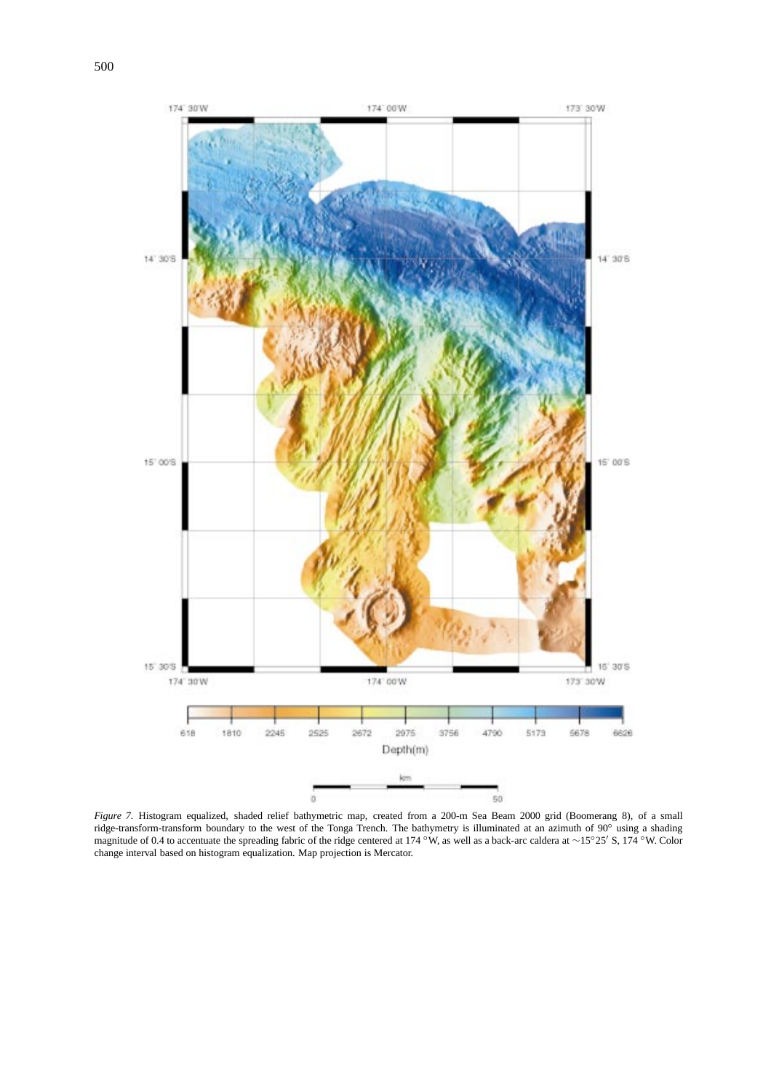

*Figure 7.* Histogram equalized, shaded relief bathymetric map, created from a 200-m Sea Beam 2000 grid (Boomerang 8), of a small ridge-transform-transform boundary to the west of the Tonga Trench. The bathymetry is illuminated at an azimuth of 90◦ using a shading magnitude of 0.4 to accentuate the spreading fabric of the ridge centered at 174 °W, as well as a back-arc caldera at ∼15°25' S, 174 °W. Color change interval based on histogram equalization. Map projection is Mercator.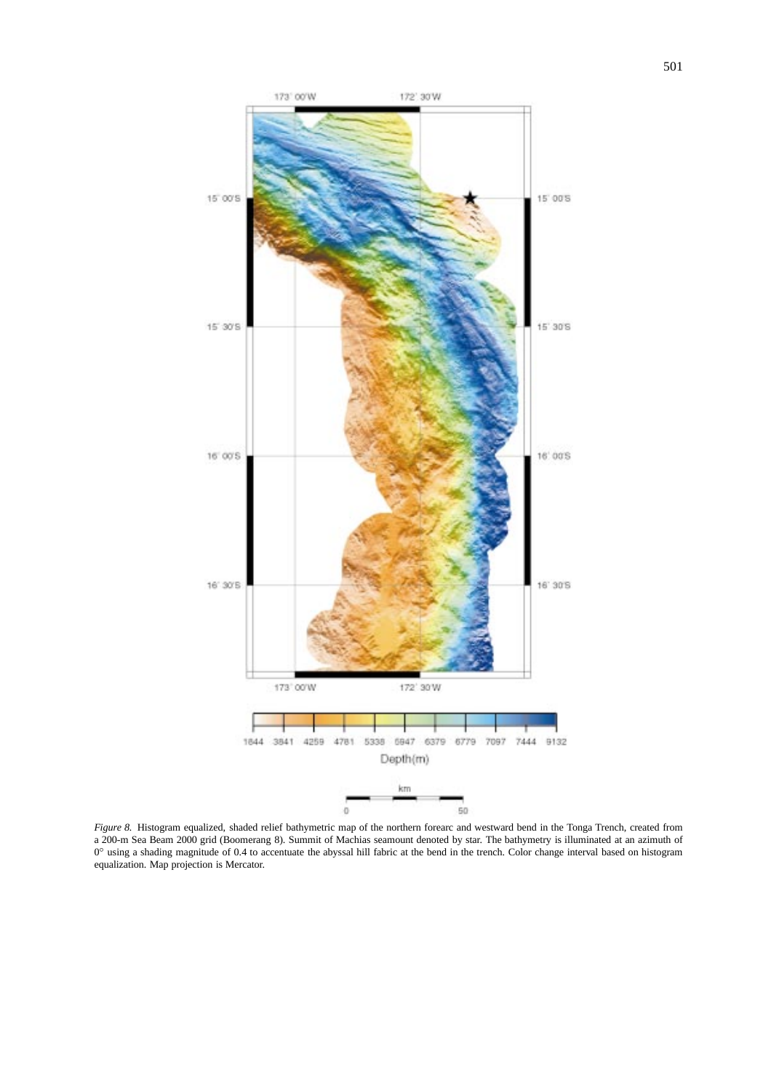

*Figure 8.* Histogram equalized, shaded relief bathymetric map of the northern forearc and westward bend in the Tonga Trench, created from a 200-m Sea Beam 2000 grid (Boomerang 8). Summit of Machias seamount denoted by star. The bathymetry is illuminated at an azimuth of 0° using a shading magnitude of 0.4 to accentuate the abyssal hill fabric at the bend in the trench. Color change interval based on histogram equalization. Map projection is Mercator.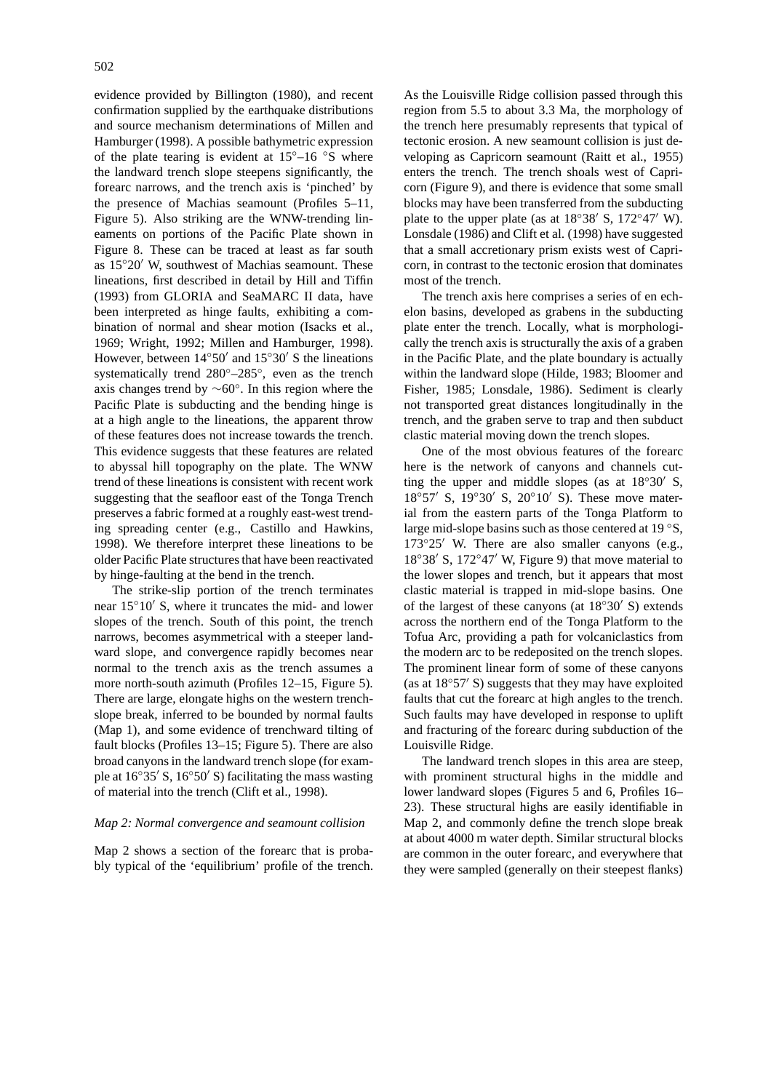evidence provided by Billington (1980), and recent confirmation supplied by the earthquake distributions and source mechanism determinations of Millen and Hamburger (1998). A possible bathymetric expression of the plate tearing is evident at  $15^{\circ}-16$  °S where the landward trench slope steepens significantly, the forearc narrows, and the trench axis is 'pinched' by the presence of Machias seamount (Profiles 5–11, Figure 5). Also striking are the WNW-trending lineaments on portions of the Pacific Plate shown in Figure 8. These can be traced at least as far south as  $15°20'$  W, southwest of Machias seamount. These lineations, first described in detail by Hill and Tiffin (1993) from GLORIA and SeaMARC II data, have been interpreted as hinge faults, exhibiting a combination of normal and shear motion (Isacks et al., 1969; Wright, 1992; Millen and Hamburger, 1998). However, between  $14°50'$  and  $15°30'$  S the lineations systematically trend 280◦–285◦, even as the trench axis changes trend by ∼60◦. In this region where the Pacific Plate is subducting and the bending hinge is at a high angle to the lineations, the apparent throw of these features does not increase towards the trench. This evidence suggests that these features are related to abyssal hill topography on the plate. The WNW trend of these lineations is consistent with recent work suggesting that the seafloor east of the Tonga Trench preserves a fabric formed at a roughly east-west trending spreading center (e.g., Castillo and Hawkins, 1998). We therefore interpret these lineations to be older Pacific Plate structures that have been reactivated by hinge-faulting at the bend in the trench.

The strike-slip portion of the trench terminates near  $15°10'$  S, where it truncates the mid- and lower slopes of the trench. South of this point, the trench narrows, becomes asymmetrical with a steeper landward slope, and convergence rapidly becomes near normal to the trench axis as the trench assumes a more north-south azimuth (Profiles 12–15, Figure 5). There are large, elongate highs on the western trenchslope break, inferred to be bounded by normal faults (Map 1), and some evidence of trenchward tilting of fault blocks (Profiles 13–15; Figure 5). There are also broad canyons in the landward trench slope (for example at  $16°35'$  S,  $16°50'$  S) facilitating the mass wasting of material into the trench (Clift et al., 1998).

### *Map 2: Normal convergence and seamount collision*

Map 2 shows a section of the forearc that is probably typical of the 'equilibrium' profile of the trench. As the Louisville Ridge collision passed through this region from 5.5 to about 3.3 Ma, the morphology of the trench here presumably represents that typical of tectonic erosion. A new seamount collision is just developing as Capricorn seamount (Raitt et al., 1955) enters the trench. The trench shoals west of Capricorn (Figure 9), and there is evidence that some small blocks may have been transferred from the subducting plate to the upper plate (as at  $18°38'$  S,  $172°47'$  W). Lonsdale (1986) and Clift et al. (1998) have suggested that a small accretionary prism exists west of Capricorn, in contrast to the tectonic erosion that dominates most of the trench.

The trench axis here comprises a series of en echelon basins, developed as grabens in the subducting plate enter the trench. Locally, what is morphologically the trench axis is structurally the axis of a graben in the Pacific Plate, and the plate boundary is actually within the landward slope (Hilde, 1983; Bloomer and Fisher, 1985; Lonsdale, 1986). Sediment is clearly not transported great distances longitudinally in the trench, and the graben serve to trap and then subduct clastic material moving down the trench slopes.

One of the most obvious features of the forearc here is the network of canyons and channels cutting the upper and middle slopes (as at  $18°30'$  S,  $18°57'$  S,  $19°30'$  S,  $20°10'$  S). These move material from the eastern parts of the Tonga Platform to large mid-slope basins such as those centered at 19 ◦S,  $173°25'$  W. There are also smaller canyons (e.g.,  $18°38'$  S,  $172°47'$  W, Figure 9) that move material to the lower slopes and trench, but it appears that most clastic material is trapped in mid-slope basins. One of the largest of these canyons (at  $18°30'$  S) extends across the northern end of the Tonga Platform to the Tofua Arc, providing a path for volcaniclastics from the modern arc to be redeposited on the trench slopes. The prominent linear form of some of these canyons (as at  $18°57'$  S) suggests that they may have exploited faults that cut the forearc at high angles to the trench. Such faults may have developed in response to uplift and fracturing of the forearc during subduction of the Louisville Ridge.

The landward trench slopes in this area are steep, with prominent structural highs in the middle and lower landward slopes (Figures 5 and 6, Profiles 16– 23). These structural highs are easily identifiable in Map 2, and commonly define the trench slope break at about 4000 m water depth. Similar structural blocks are common in the outer forearc, and everywhere that they were sampled (generally on their steepest flanks)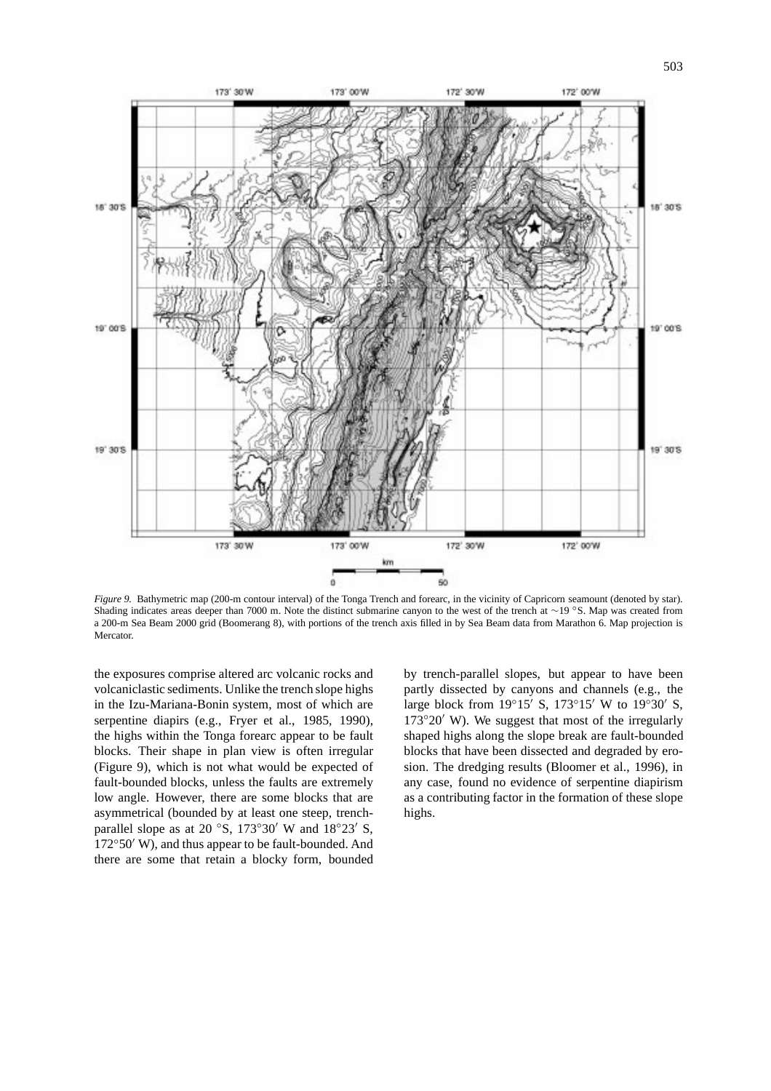

*Figure 9.* Bathymetric map (200-m contour interval) of the Tonga Trench and forearc, in the vicinity of Capricorn seamount (denoted by star). Shading indicates areas deeper than 7000 m. Note the distinct submarine canyon to the west of the trench at ∼19 ◦S. Map was created from a 200-m Sea Beam 2000 grid (Boomerang 8), with portions of the trench axis filled in by Sea Beam data from Marathon 6. Map projection is Mercator.

the exposures comprise altered arc volcanic rocks and volcaniclastic sediments. Unlike the trench slope highs in the Izu-Mariana-Bonin system, most of which are serpentine diapirs (e.g., Fryer et al., 1985, 1990), the highs within the Tonga forearc appear to be fault blocks. Their shape in plan view is often irregular (Figure 9), which is not what would be expected of fault-bounded blocks, unless the faults are extremely low angle. However, there are some blocks that are asymmetrical (bounded by at least one steep, trenchparallel slope as at 20 °S, 173°30′ W and  $18°23'$  S,  $172°50'$  W), and thus appear to be fault-bounded. And there are some that retain a blocky form, bounded by trench-parallel slopes, but appear to have been partly dissected by canyons and channels (e.g., the large block from  $19°15'$  S,  $173°15'$  W to  $19°30'$  S,  $173°20'$  W). We suggest that most of the irregularly shaped highs along the slope break are fault-bounded blocks that have been dissected and degraded by erosion. The dredging results (Bloomer et al., 1996), in any case, found no evidence of serpentine diapirism as a contributing factor in the formation of these slope highs.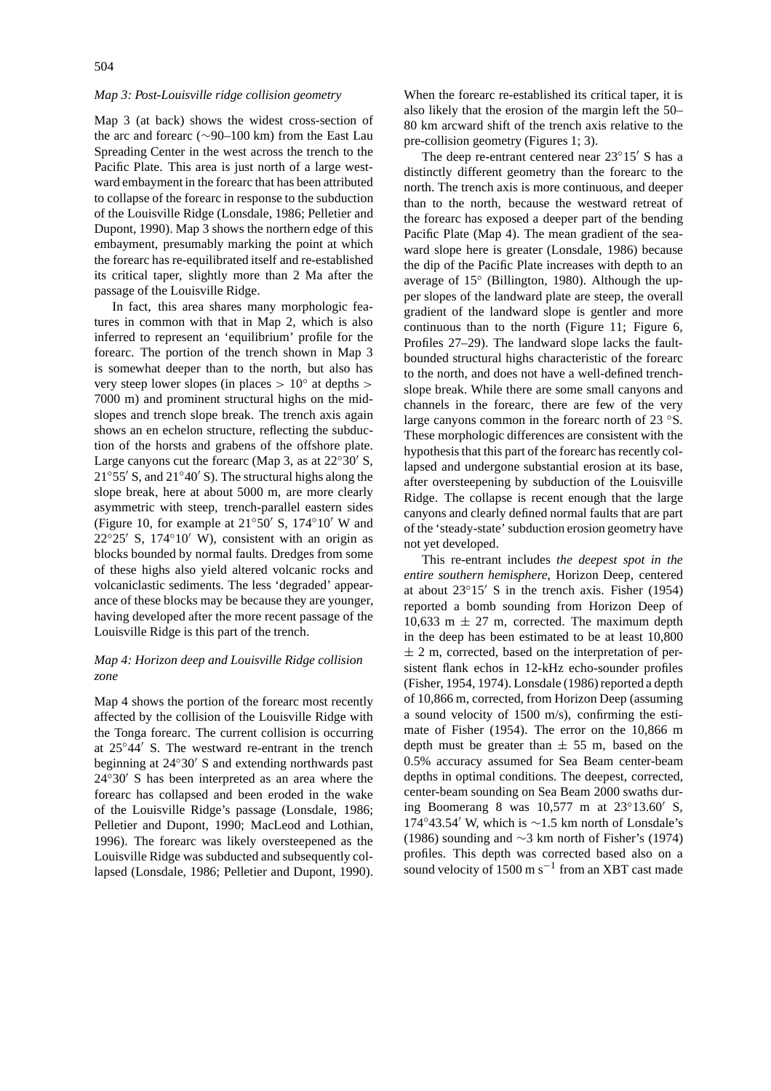### *Map 3: Post-Louisville ridge collision geometry*

Map 3 (at back) shows the widest cross-section of the arc and forearc (∼90–100 km) from the East Lau Spreading Center in the west across the trench to the Pacific Plate. This area is just north of a large westward embayment in the forearc that has been attributed to collapse of the forearc in response to the subduction of the Louisville Ridge (Lonsdale, 1986; Pelletier and Dupont, 1990). Map 3 shows the northern edge of this embayment, presumably marking the point at which the forearc has re-equilibrated itself and re-established its critical taper, slightly more than 2 Ma after the passage of the Louisville Ridge.

In fact, this area shares many morphologic features in common with that in Map 2, which is also inferred to represent an 'equilibrium' profile for the forearc. The portion of the trench shown in Map 3 is somewhat deeper than to the north, but also has very steep lower slopes (in places *>* 10◦ at depths *>* 7000 m) and prominent structural highs on the midslopes and trench slope break. The trench axis again shows an en echelon structure, reflecting the subduction of the horsts and grabens of the offshore plate. Large canyons cut the forearc (Map 3, as at  $22°30'$  S,  $21°55'$  S, and  $21°40'$  S). The structural highs along the slope break, here at about 5000 m, are more clearly asymmetric with steep, trench-parallel eastern sides (Figure 10, for example at  $21°50'$  S,  $174°10'$  W and  $22°25'$  S,  $174°10'$  W), consistent with an origin as blocks bounded by normal faults. Dredges from some of these highs also yield altered volcanic rocks and volcaniclastic sediments. The less 'degraded' appearance of these blocks may be because they are younger, having developed after the more recent passage of the Louisville Ridge is this part of the trench.

## *Map 4: Horizon deep and Louisville Ridge collision zone*

Map 4 shows the portion of the forearc most recently affected by the collision of the Louisville Ridge with the Tonga forearc. The current collision is occurring at  $25°44'$  S. The westward re-entrant in the trench beginning at  $24°30'$  S and extending northwards past  $24°30'$  S has been interpreted as an area where the forearc has collapsed and been eroded in the wake of the Louisville Ridge's passage (Lonsdale, 1986; Pelletier and Dupont, 1990; MacLeod and Lothian, 1996). The forearc was likely oversteepened as the Louisville Ridge was subducted and subsequently collapsed (Lonsdale, 1986; Pelletier and Dupont, 1990).

When the forearc re-established its critical taper, it is also likely that the erosion of the margin left the 50– 80 km arcward shift of the trench axis relative to the pre-collision geometry (Figures 1; 3).

The deep re-entrant centered near  $23^{\circ}15'$  S has a distinctly different geometry than the forearc to the north. The trench axis is more continuous, and deeper than to the north, because the westward retreat of the forearc has exposed a deeper part of the bending Pacific Plate (Map 4). The mean gradient of the seaward slope here is greater (Lonsdale, 1986) because the dip of the Pacific Plate increases with depth to an average of 15◦ (Billington, 1980). Although the upper slopes of the landward plate are steep, the overall gradient of the landward slope is gentler and more continuous than to the north (Figure 11; Figure 6, Profiles 27–29). The landward slope lacks the faultbounded structural highs characteristic of the forearc to the north, and does not have a well-defined trenchslope break. While there are some small canyons and channels in the forearc, there are few of the very large canyons common in the forearc north of 23 ◦S. These morphologic differences are consistent with the hypothesis that this part of the forearc has recently collapsed and undergone substantial erosion at its base, after oversteepening by subduction of the Louisville Ridge. The collapse is recent enough that the large canyons and clearly defined normal faults that are part of the 'steady-state' subduction erosion geometry have not yet developed.

This re-entrant includes *the deepest spot in the entire southern hemisphere*, Horizon Deep, centered at about  $23^{\circ}15'$  S in the trench axis. Fisher (1954) reported a bomb sounding from Horizon Deep of 10,633 m  $\pm$  27 m, corrected. The maximum depth in the deep has been estimated to be at least 10,800  $\pm$  2 m, corrected, based on the interpretation of persistent flank echos in 12-kHz echo-sounder profiles (Fisher, 1954, 1974). Lonsdale (1986) reported a depth of 10,866 m, corrected, from Horizon Deep (assuming a sound velocity of 1500 m/s), confirming the estimate of Fisher (1954). The error on the 10,866 m depth must be greater than  $\pm$  55 m, based on the 0.5% accuracy assumed for Sea Beam center-beam depths in optimal conditions. The deepest, corrected, center-beam sounding on Sea Beam 2000 swaths during Boomerang 8 was  $10,577$  m at  $23^{\circ}13.60'$  S, 174◦43.54<sup>0</sup> W, which is ∼1.5 km north of Lonsdale's (1986) sounding and ∼3 km north of Fisher's (1974) profiles. This depth was corrected based also on a sound velocity of 1500 m s<sup>-1</sup> from an XBT cast made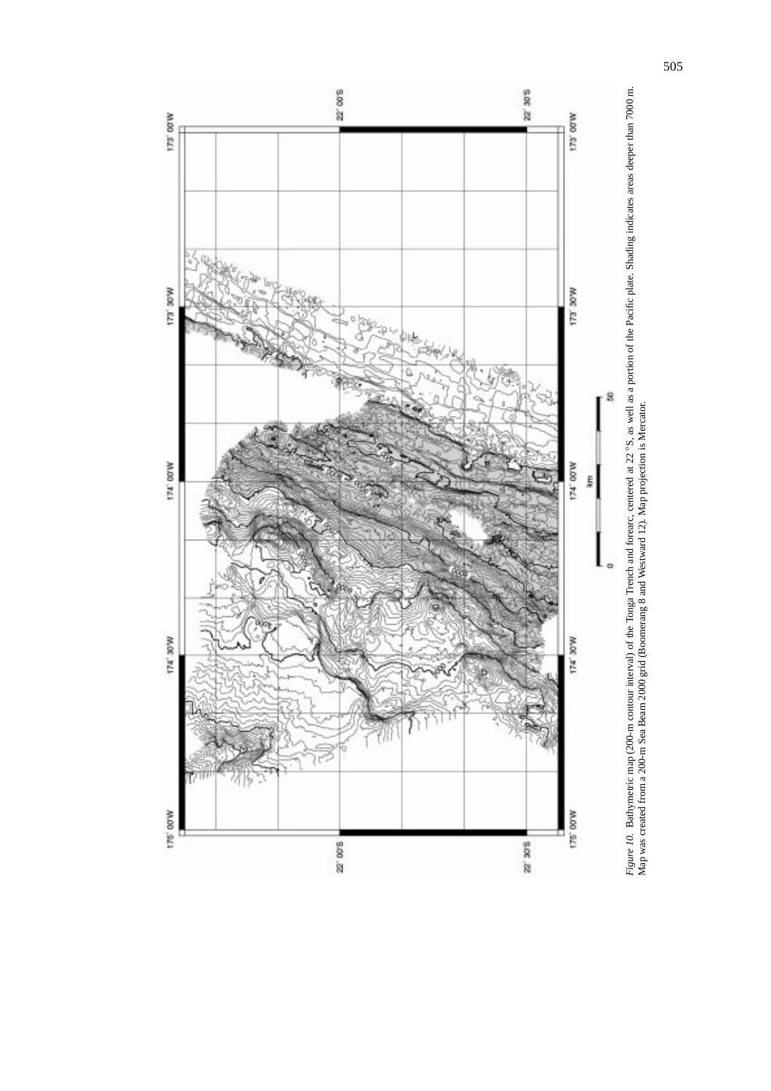

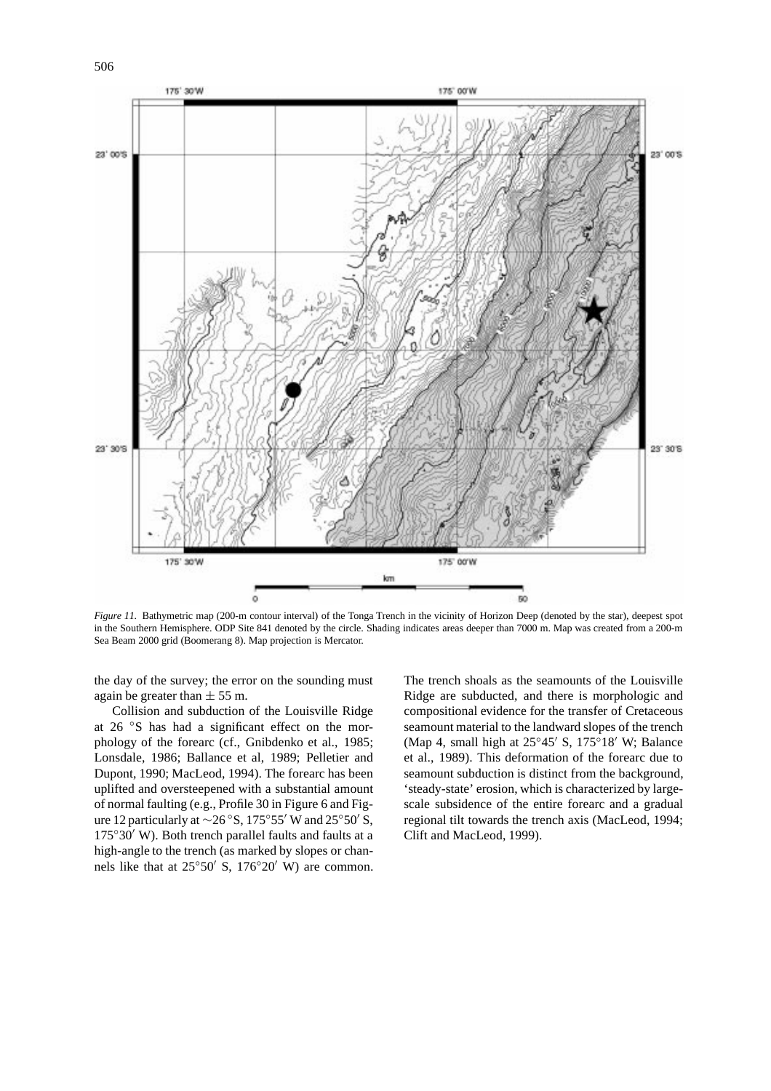

*Figure 11.* Bathymetric map (200-m contour interval) of the Tonga Trench in the vicinity of Horizon Deep (denoted by the star), deepest spot in the Southern Hemisphere. ODP Site 841 denoted by the circle. Shading indicates areas deeper than 7000 m. Map was created from a 200-m Sea Beam 2000 grid (Boomerang 8). Map projection is Mercator.

the day of the survey; the error on the sounding must again be greater than  $\pm$  55 m.

Collision and subduction of the Louisville Ridge at 26 ◦S has had a significant effect on the morphology of the forearc (cf., Gnibdenko et al., 1985; Lonsdale, 1986; Ballance et al, 1989; Pelletier and Dupont, 1990; MacLeod, 1994). The forearc has been uplifted and oversteepened with a substantial amount of normal faulting (e.g., Profile 30 in Figure 6 and Figure 12 particularly at  $\sim$ 26 °S, 175°55′ W and 25°50′ S,  $175°30'$  W). Both trench parallel faults and faults at a high-angle to the trench (as marked by slopes or channels like that at  $25°50'$  S,  $176°20'$  W) are common.

The trench shoals as the seamounts of the Louisville Ridge are subducted, and there is morphologic and compositional evidence for the transfer of Cretaceous seamount material to the landward slopes of the trench (Map 4, small high at  $25^{\circ}45'$  S,  $175^{\circ}18'$  W; Balance et al., 1989). This deformation of the forearc due to seamount subduction is distinct from the background, 'steady-state' erosion, which is characterized by largescale subsidence of the entire forearc and a gradual regional tilt towards the trench axis (MacLeod, 1994; Clift and MacLeod, 1999).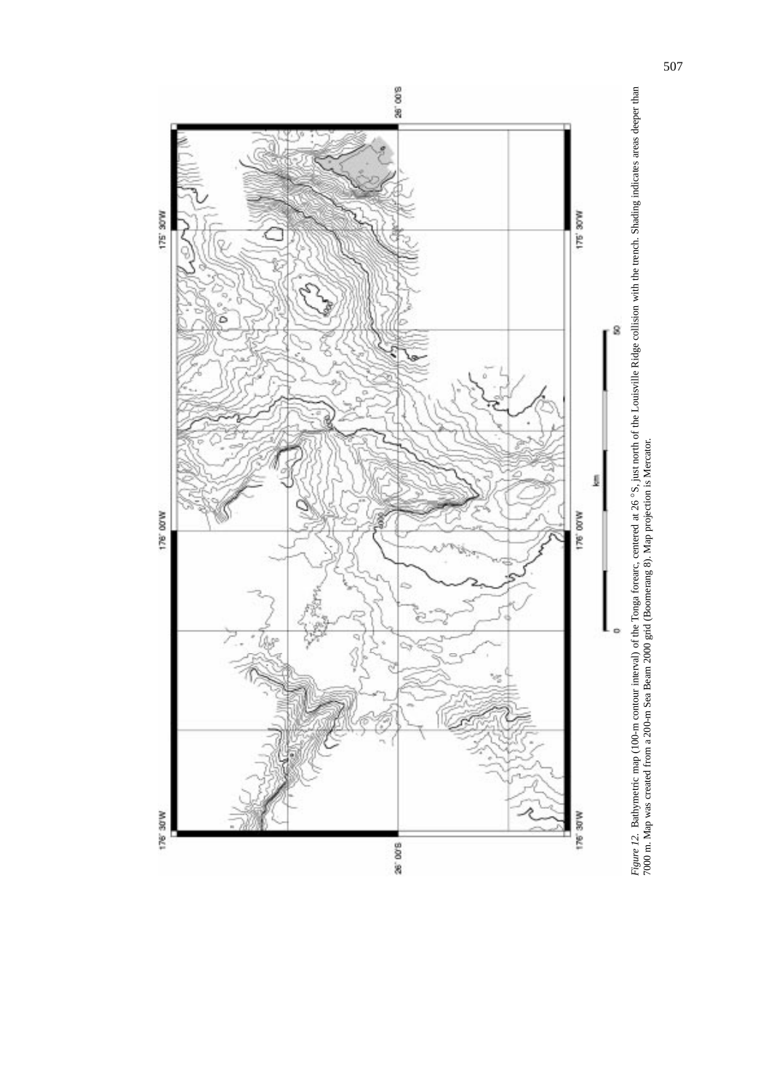

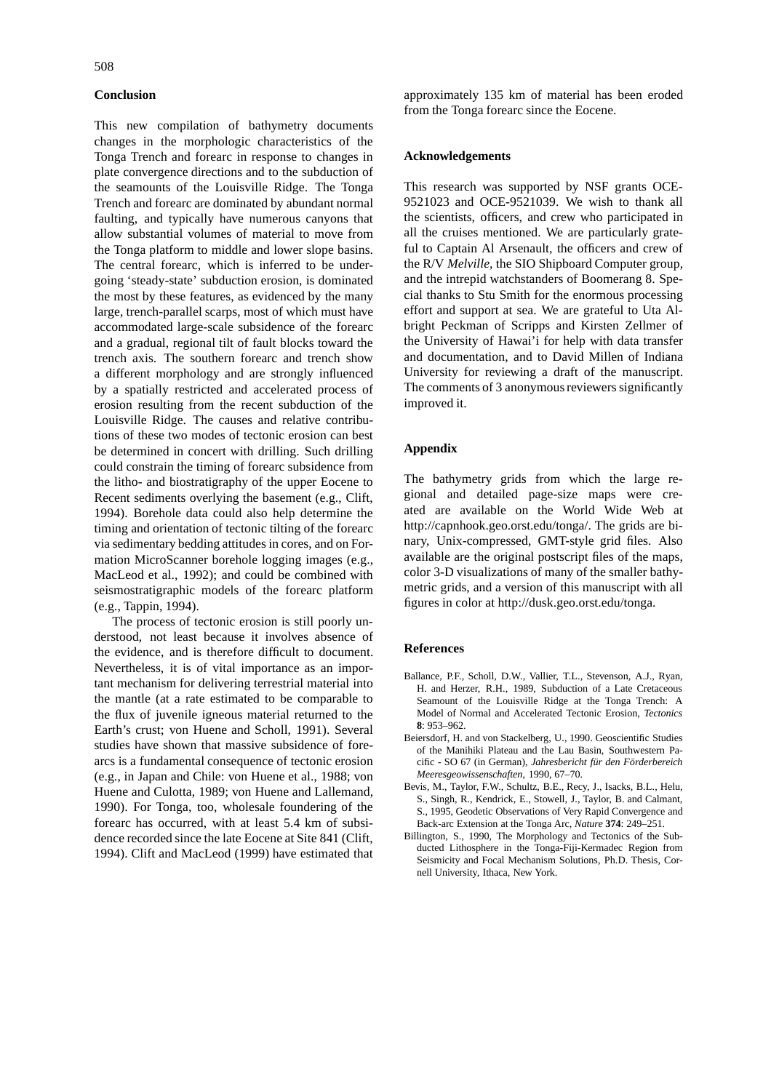# **Conclusion**

This new compilation of bathymetry documents changes in the morphologic characteristics of the Tonga Trench and forearc in response to changes in plate convergence directions and to the subduction of the seamounts of the Louisville Ridge. The Tonga Trench and forearc are dominated by abundant normal faulting, and typically have numerous canyons that allow substantial volumes of material to move from the Tonga platform to middle and lower slope basins. The central forearc, which is inferred to be undergoing 'steady-state' subduction erosion, is dominated the most by these features, as evidenced by the many large, trench-parallel scarps, most of which must have accommodated large-scale subsidence of the forearc and a gradual, regional tilt of fault blocks toward the trench axis. The southern forearc and trench show a different morphology and are strongly influenced by a spatially restricted and accelerated process of erosion resulting from the recent subduction of the Louisville Ridge. The causes and relative contributions of these two modes of tectonic erosion can best be determined in concert with drilling. Such drilling could constrain the timing of forearc subsidence from the litho- and biostratigraphy of the upper Eocene to Recent sediments overlying the basement (e.g., Clift, 1994). Borehole data could also help determine the timing and orientation of tectonic tilting of the forearc via sedimentary bedding attitudes in cores, and on Formation MicroScanner borehole logging images (e.g., MacLeod et al., 1992); and could be combined with seismostratigraphic models of the forearc platform (e.g., Tappin, 1994).

The process of tectonic erosion is still poorly understood, not least because it involves absence of the evidence, and is therefore difficult to document. Nevertheless, it is of vital importance as an important mechanism for delivering terrestrial material into the mantle (at a rate estimated to be comparable to the flux of juvenile igneous material returned to the Earth's crust; von Huene and Scholl, 1991). Several studies have shown that massive subsidence of forearcs is a fundamental consequence of tectonic erosion (e.g., in Japan and Chile: von Huene et al., 1988; von Huene and Culotta, 1989; von Huene and Lallemand, 1990). For Tonga, too, wholesale foundering of the forearc has occurred, with at least 5.4 km of subsidence recorded since the late Eocene at Site 841 (Clift, 1994). Clift and MacLeod (1999) have estimated that

approximately 135 km of material has been eroded from the Tonga forearc since the Eocene.

### **Acknowledgements**

This research was supported by NSF grants OCE-9521023 and OCE-9521039. We wish to thank all the scientists, officers, and crew who participated in all the cruises mentioned. We are particularly grateful to Captain Al Arsenault, the officers and crew of the R/V *Melville*, the SIO Shipboard Computer group, and the intrepid watchstanders of Boomerang 8. Special thanks to Stu Smith for the enormous processing effort and support at sea. We are grateful to Uta Albright Peckman of Scripps and Kirsten Zellmer of the University of Hawai'i for help with data transfer and documentation, and to David Millen of Indiana University for reviewing a draft of the manuscript. The comments of 3 anonymous reviewers significantly improved it.

### **Appendix**

The bathymetry grids from which the large regional and detailed page-size maps were created are available on the World Wide Web at http://capnhook.geo.orst.edu/tonga/. The grids are binary, Unix-compressed, GMT-style grid files. Also available are the original postscript files of the maps, color 3-D visualizations of many of the smaller bathymetric grids, and a version of this manuscript with all figures in color at http://dusk.geo.orst.edu/tonga.

### **References**

- Ballance, P.F., Scholl, D.W., Vallier, T.L., Stevenson, A.J., Ryan, H. and Herzer, R.H., 1989, Subduction of a Late Cretaceous Seamount of the Louisville Ridge at the Tonga Trench: A Model of Normal and Accelerated Tectonic Erosion, *Tectonics* **8**: 953–962.
- Beiersdorf, H. and von Stackelberg, U., 1990. Geoscientific Studies of the Manihiki Plateau and the Lau Basin, Southwestern Pacific - SO 67 (in German), *Jahresbericht für den Förderbereich Meeresgeowissenschaften*, 1990, 67–70.
- Bevis, M., Taylor, F.W., Schultz, B.E., Recy, J., Isacks, B.L., Helu, S., Singh, R., Kendrick, E., Stowell, J., Taylor, B. and Calmant, S., 1995, Geodetic Observations of Very Rapid Convergence and Back-arc Extension at the Tonga Arc, *Nature* **374**: 249–251.
- Billington, S., 1990, The Morphology and Tectonics of the Subducted Lithosphere in the Tonga-Fiji-Kermadec Region from Seismicity and Focal Mechanism Solutions, Ph.D. Thesis, Cornell University, Ithaca, New York.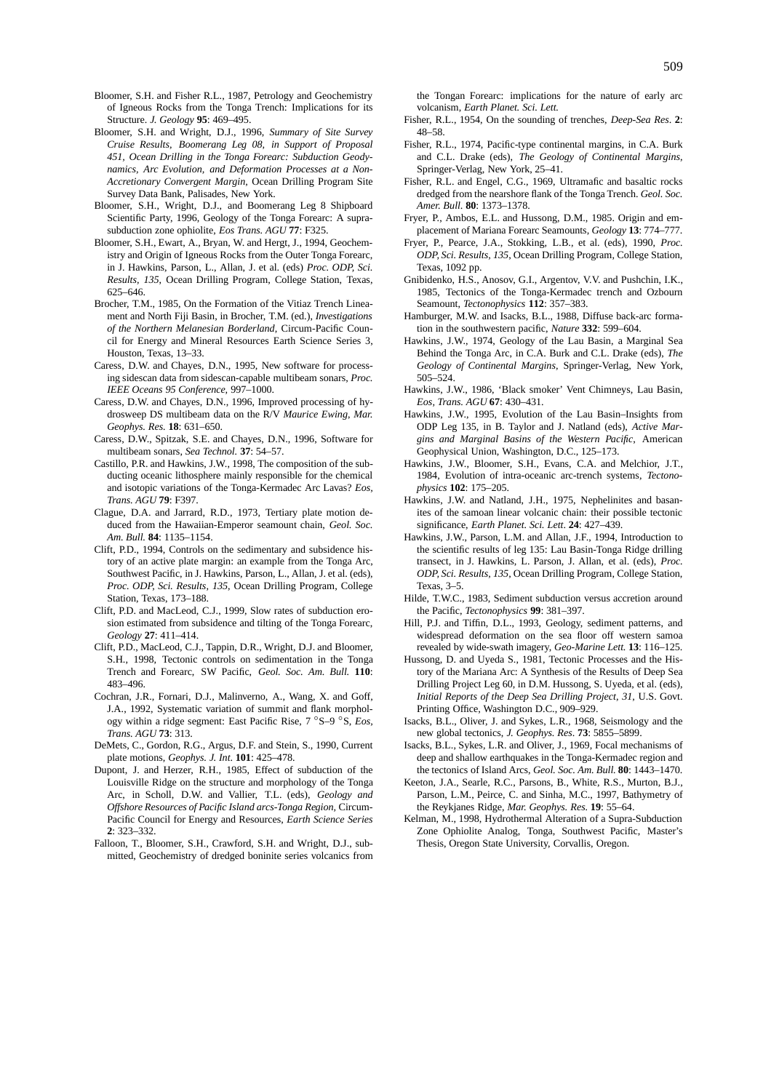- Bloomer, S.H. and Fisher R.L., 1987, Petrology and Geochemistry of Igneous Rocks from the Tonga Trench: Implications for its Structure. *J. Geology* **95**: 469–495.
- Bloomer, S.H. and Wright, D.J., 1996, *Summary of Site Survey Cruise Results, Boomerang Leg 08, in Support of Proposal 451, Ocean Drilling in the Tonga Forearc: Subduction Geodynamics, Arc Evolution, and Deformation Processes at a Non-Accretionary Convergent Margin*, Ocean Drilling Program Site Survey Data Bank, Palisades, New York.
- Bloomer, S.H., Wright, D.J., and Boomerang Leg 8 Shipboard Scientific Party, 1996, Geology of the Tonga Forearc: A suprasubduction zone ophiolite, *Eos Trans. AGU* **77**: F325.
- Bloomer, S.H., Ewart, A., Bryan, W. and Hergt, J., 1994, Geochemistry and Origin of Igneous Rocks from the Outer Tonga Forearc, in J. Hawkins, Parson, L., Allan, J. et al. (eds) *Proc. ODP, Sci. Results, 135*, Ocean Drilling Program, College Station, Texas, 625–646.
- Brocher, T.M., 1985, On the Formation of the Vitiaz Trench Lineament and North Fiji Basin, in Brocher, T.M. (ed.), *Investigations of the Northern Melanesian Borderland*, Circum-Pacific Council for Energy and Mineral Resources Earth Science Series 3, Houston, Texas, 13–33.
- Caress, D.W. and Chayes, D.N., 1995, New software for processing sidescan data from sidescan-capable multibeam sonars, *Proc. IEEE Oceans 95 Conference,* 997–1000.
- Caress, D.W. and Chayes, D.N., 1996, Improved processing of hydrosweep DS multibeam data on the R/V *Maurice Ewing*, *Mar. Geophys. Res.* **18**: 631–650.
- Caress, D.W., Spitzak, S.E. and Chayes, D.N., 1996, Software for multibeam sonars, *Sea Technol.* **37**: 54–57.
- Castillo, P.R. and Hawkins, J.W., 1998, The composition of the subducting oceanic lithosphere mainly responsible for the chemical and isotopic variations of the Tonga-Kermadec Arc Lavas? *Eos, Trans. AGU* **79**: F397.
- Clague, D.A. and Jarrard, R.D., 1973, Tertiary plate motion deduced from the Hawaiian-Emperor seamount chain, *Geol. Soc. Am. Bull.* **84**: 1135–1154.
- Clift, P.D., 1994, Controls on the sedimentary and subsidence history of an active plate margin: an example from the Tonga Arc, Southwest Pacific, in J. Hawkins, Parson, L., Allan, J. et al. (eds), *Proc. ODP, Sci. Results, 135*, Ocean Drilling Program, College Station, Texas, 173–188.
- Clift, P.D. and MacLeod, C.J., 1999, Slow rates of subduction erosion estimated from subsidence and tilting of the Tonga Forearc, *Geology* **27**: 411–414.
- Clift, P.D., MacLeod, C.J., Tappin, D.R., Wright, D.J. and Bloomer, S.H., 1998, Tectonic controls on sedimentation in the Tonga Trench and Forearc, SW Pacific, *Geol. Soc. Am. Bull.* **110**: 483–496.
- Cochran, J.R., Fornari, D.J., Malinverno, A., Wang, X. and Goff, J.A., 1992, Systematic variation of summit and flank morphology within a ridge segment: East Pacific Rise, 7 ◦S–9 ◦S, *Eos, Trans. AGU* **73**: 313.
- DeMets, C., Gordon, R.G., Argus, D.F. and Stein, S., 1990, Current plate motions, *Geophys. J. Int*. **101**: 425–478.
- Dupont, J. and Herzer, R.H., 1985, Effect of subduction of the Louisville Ridge on the structure and morphology of the Tonga Arc, in Scholl, D.W. and Vallier, T.L. (eds), *Geology and Offshore Resources of Pacific Island arcs-Tonga Region,* Circum-Pacific Council for Energy and Resources, *Earth Science Series* **2**: 323–332.
- Falloon, T., Bloomer, S.H., Crawford, S.H. and Wright, D.J., submitted, Geochemistry of dredged boninite series volcanics from

the Tongan Forearc: implications for the nature of early arc volcanism, *Earth Planet. Sci. Lett.*

- Fisher, R.L., 1954, On the sounding of trenches, *Deep-Sea Res*. **2**: 48–58.
- Fisher, R.L., 1974, Pacific-type continental margins, in C.A. Burk and C.L. Drake (eds), *The Geology of Continental Margins*, Springer-Verlag, New York, 25–41.
- Fisher, R.L. and Engel, C.G., 1969, Ultramafic and basaltic rocks dredged from the nearshore flank of the Tonga Trench. *Geol. Soc. Amer. Bull*. **80**: 1373–1378.
- Fryer, P., Ambos, E.L. and Hussong, D.M., 1985. Origin and emplacement of Mariana Forearc Seamounts, *Geology* **13**: 774–777.
- Fryer, P., Pearce, J.A., Stokking, L.B., et al. (eds), 1990, *Proc. ODP, Sci. Results, 135*, Ocean Drilling Program, College Station, Texas, 1092 pp.
- Gnibidenko, H.S., Anosov, G.I., Argentov, V.V. and Pushchin, I.K., 1985, Tectonics of the Tonga-Kermadec trench and Ozbourn Seamount, *Tectonophysics* **112**: 357–383.
- Hamburger, M.W. and Isacks, B.L., 1988, Diffuse back-arc formation in the southwestern pacific, *Nature* **332**: 599–604.
- Hawkins, J.W., 1974, Geology of the Lau Basin, a Marginal Sea Behind the Tonga Arc, in C.A. Burk and C.L. Drake (eds), *The Geology of Continental Margins*, Springer-Verlag, New York, 505–524.
- Hawkins, J.W., 1986, 'Black smoker' Vent Chimneys, Lau Basin, *Eos, Trans. AGU* **67**: 430–431.
- Hawkins, J.W., 1995, Evolution of the Lau Basin–Insights from ODP Leg 135, in B. Taylor and J. Natland (eds), *Active Margins and Marginal Basins of the Western Pacific*, American Geophysical Union, Washington, D.C., 125–173.
- Hawkins, J.W., Bloomer, S.H., Evans, C.A. and Melchior, J.T., 1984, Evolution of intra-oceanic arc-trench systems, *Tectonophysics* **102**: 175–205.
- Hawkins, J.W. and Natland, J.H., 1975, Nephelinites and basanites of the samoan linear volcanic chain: their possible tectonic significance, *Earth Planet. Sci. Lett*. **24**: 427–439.
- Hawkins, J.W., Parson, L.M. and Allan, J.F., 1994, Introduction to the scientific results of leg 135: Lau Basin-Tonga Ridge drilling transect, in J. Hawkins, L. Parson, J. Allan, et al. (eds), *Proc. ODP, Sci. Results, 135*, Ocean Drilling Program, College Station, Texas, 3–5.
- Hilde, T.W.C., 1983, Sediment subduction versus accretion around the Pacific, *Tectonophysics* **99**: 381–397.
- Hill, P.J. and Tiffin, D.L., 1993, Geology, sediment patterns, and widespread deformation on the sea floor off western samoa revealed by wide-swath imagery, *Geo-Marine Lett.* **13**: 116–125.
- Hussong, D. and Uyeda S., 1981, Tectonic Processes and the History of the Mariana Arc: A Synthesis of the Results of Deep Sea Drilling Project Leg 60, in D.M. Hussong, S. Uyeda, et al. (eds), *Initial Reports of the Deep Sea Drilling Project*, *31*, U.S. Govt. Printing Office, Washington D.C., 909–929.
- Isacks, B.L., Oliver, J. and Sykes, L.R., 1968, Seismology and the new global tectonics, *J. Geophys. Res*. **73**: 5855–5899.
- Isacks, B.L., Sykes, L.R. and Oliver, J., 1969, Focal mechanisms of deep and shallow earthquakes in the Tonga-Kermadec region and the tectonics of Island Arcs, *Geol. Soc. Am. Bull.* **80**: 1443–1470.
- Keeton, J.A., Searle, R.C., Parsons, B., White, R.S., Murton, B.J., Parson, L.M., Peirce, C. and Sinha, M.C., 1997, Bathymetry of the Reykjanes Ridge, *Mar. Geophys. Res.* **19**: 55–64.
- Kelman, M., 1998, Hydrothermal Alteration of a Supra-Subduction Zone Ophiolite Analog, Tonga, Southwest Pacific, Master's Thesis, Oregon State University, Corvallis, Oregon.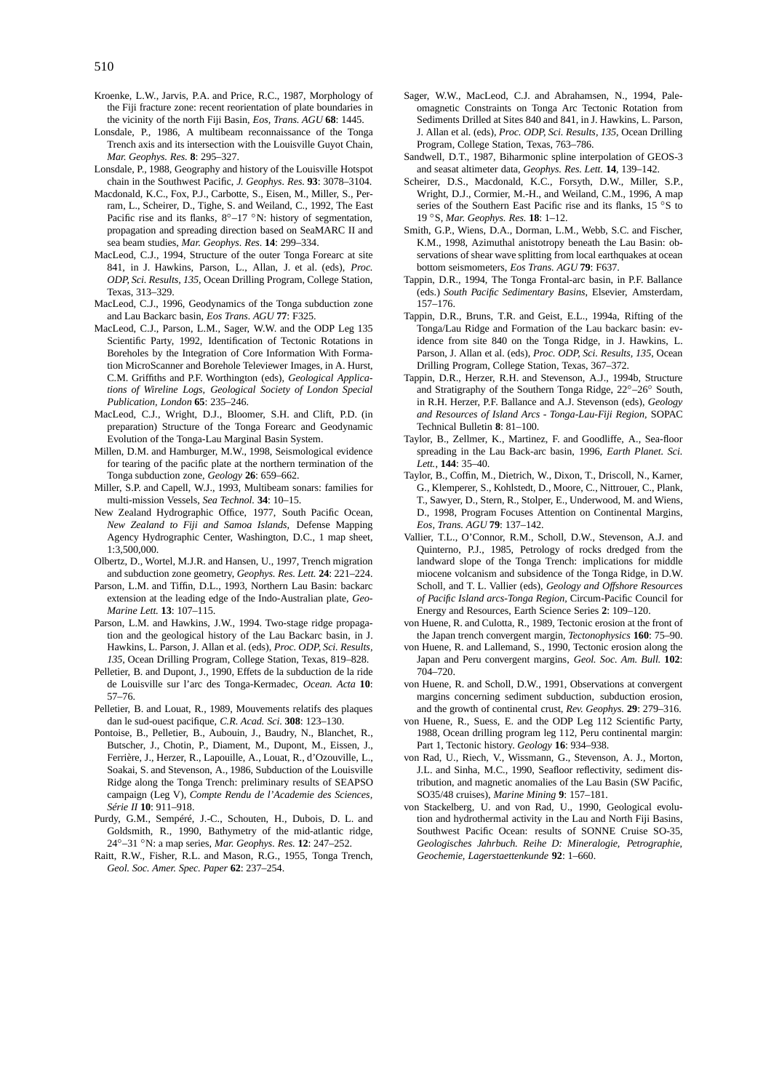- Kroenke, L.W., Jarvis, P.A. and Price, R.C., 1987, Morphology of the Fiji fracture zone: recent reorientation of plate boundaries in the vicinity of the north Fiji Basin, *Eos, Trans. AGU* **68**: 1445.
- Lonsdale, P., 1986, A multibeam reconnaissance of the Tonga Trench axis and its intersection with the Louisville Guyot Chain, *Mar. Geophys. Res.* **8**: 295–327.
- Lonsdale, P., 1988, Geography and history of the Louisville Hotspot chain in the Southwest Pacific, *J. Geophys. Res.* **93**: 3078–3104.
- Macdonald, K.C., Fox, P.J., Carbotte, S., Eisen, M., Miller, S., Perram, L., Scheirer, D., Tighe, S. and Weiland, C., 1992, The East Pacific rise and its flanks,  $8°-17$  °N: history of segmentation, propagation and spreading direction based on SeaMARC II and sea beam studies, *Mar. Geophys. Res.* **14**: 299–334.
- MacLeod, C.J., 1994, Structure of the outer Tonga Forearc at site 841, in J. Hawkins, Parson, L., Allan, J. et al. (eds), *Proc. ODP, Sci. Results, 135*, Ocean Drilling Program, College Station, Texas, 313–329.
- MacLeod, C.J., 1996, Geodynamics of the Tonga subduction zone and Lau Backarc basin, *Eos Trans. AGU* **77**: F325.
- MacLeod, C.J., Parson, L.M., Sager, W.W. and the ODP Leg 135 Scientific Party, 1992, Identification of Tectonic Rotations in Boreholes by the Integration of Core Information With Formation MicroScanner and Borehole Televiewer Images, in A. Hurst, C.M. Griffiths and P.F. Worthington (eds), *Geological Applications of Wireline Logs, Geological Society of London Special Publication, London* **65**: 235–246.
- MacLeod, C.J., Wright, D.J., Bloomer, S.H. and Clift, P.D. (in preparation) Structure of the Tonga Forearc and Geodynamic Evolution of the Tonga-Lau Marginal Basin System.
- Millen, D.M. and Hamburger, M.W., 1998, Seismological evidence for tearing of the pacific plate at the northern termination of the Tonga subduction zone, *Geology* **26**: 659–662.
- Miller, S.P. and Capell, W.J., 1993, Multibeam sonars: families for multi-mission Vessels, *Sea Technol.* **34**: 10–15.
- New Zealand Hydrographic Office, 1977, South Pacific Ocean, *New Zealand to Fiji and Samoa Islands*, Defense Mapping Agency Hydrographic Center, Washington, D.C., 1 map sheet, 1:3,500,000.
- Olbertz, D., Wortel, M.J.R. and Hansen, U., 1997, Trench migration and subduction zone geometry, *Geophys. Res. Lett.* **24**: 221–224.
- Parson, L.M. and Tiffin, D.L., 1993, Northern Lau Basin: backarc extension at the leading edge of the Indo-Australian plate, *Geo-Marine Lett.* **13**: 107–115.
- Parson, L.M. and Hawkins, J.W., 1994. Two-stage ridge propagation and the geological history of the Lau Backarc basin, in J. Hawkins, L. Parson, J. Allan et al. (eds), *Proc. ODP, Sci. Results, 135*, Ocean Drilling Program, College Station, Texas, 819–828.
- Pelletier, B. and Dupont, J., 1990, Effets de la subduction de la ride de Louisville sur l'arc des Tonga-Kermadec, *Ocean. Acta* **10**: 57–76.
- Pelletier, B. and Louat, R., 1989, Mouvements relatifs des plaques dan le sud-ouest pacifique, *C.R. Acad. Sci*. **308**: 123–130.
- Pontoise, B., Pelletier, B., Aubouin, J., Baudry, N., Blanchet, R., Butscher, J., Chotin, P., Diament, M., Dupont, M., Eissen, J., Ferrière, J., Herzer, R., Lapouille, A., Louat, R., d'Ozouville, L., Soakai, S. and Stevenson, A., 1986, Subduction of the Louisville Ridge along the Tonga Trench: preliminary results of SEAPSO campaign (Leg V), *Compte Rendu de l'Academie des Sciences, Série II* **10**: 911–918.
- Purdy, G.M., Sempéré, J.-C., Schouten, H., Dubois, D. L. and Goldsmith, R., 1990, Bathymetry of the mid-atlantic ridge, 24◦–31 ◦N: a map series, *Mar. Geophys. Res.* **12**: 247–252.
- Raitt, R.W., Fisher, R.L. and Mason, R.G., 1955, Tonga Trench, *Geol. Soc. Amer. Spec. Paper* **62**: 237–254.
- Sager, W.W., MacLeod, C.J. and Abrahamsen, N., 1994, Paleomagnetic Constraints on Tonga Arc Tectonic Rotation from Sediments Drilled at Sites 840 and 841, in J. Hawkins, L. Parson, J. Allan et al. (eds), *Proc. ODP, Sci. Results, 135*, Ocean Drilling Program, College Station, Texas, 763–786.
- Sandwell, D.T., 1987, Biharmonic spline interpolation of GEOS-3 and seasat altimeter data, *Geophys. Res. Lett.* **14**, 139–142.
- Scheirer, D.S., Macdonald, K.C., Forsyth, D.W., Miller, S.P., Wright, D.J., Cormier, M.-H., and Weiland, C.M., 1996, A map series of the Southern East Pacific rise and its flanks, 15 ◦S to 19 ◦S, *Mar. Geophys. Res.* **18**: 1–12.
- Smith, G.P., Wiens, D.A., Dorman, L.M., Webb, S.C. and Fischer, K.M., 1998, Azimuthal anistotropy beneath the Lau Basin: observations of shear wave splitting from local earthquakes at ocean bottom seismometers, *Eos Trans. AGU* **79**: F637.
- Tappin, D.R., 1994, The Tonga Frontal-arc basin, in P.F. Ballance (eds.) *South Pacific Sedimentary Basins*, Elsevier, Amsterdam, 157–176.
- Tappin, D.R., Bruns, T.R. and Geist, E.L., 1994a, Rifting of the Tonga/Lau Ridge and Formation of the Lau backarc basin: evidence from site 840 on the Tonga Ridge, in J. Hawkins, L. Parson, J. Allan et al. (eds), *Proc. ODP, Sci. Results, 135*, Ocean Drilling Program, College Station, Texas, 367–372.
- Tappin, D.R., Herzer, R.H. and Stevenson, A.J., 1994b, Structure and Stratigraphy of the Southern Tonga Ridge, 22◦–26◦ South, in R.H. Herzer, P.F. Ballance and A.J. Stevenson (eds), *Geology and Resources of Island Arcs - Tonga-Lau-Fiji Region,* SOPAC Technical Bulletin **8**: 81–100.
- Taylor, B., Zellmer, K., Martinez, F. and Goodliffe, A., Sea-floor spreading in the Lau Back-arc basin, 1996, *Earth Planet. Sci. Lett.*, **144**: 35–40.
- Taylor, B., Coffin, M., Dietrich, W., Dixon, T., Driscoll, N., Karner, G., Klemperer, S., Kohlstedt, D., Moore, C., Nittrouer, C., Plank, T., Sawyer, D., Stern, R., Stolper, E., Underwood, M. and Wiens, D., 1998, Program Focuses Attention on Continental Margins, *Eos, Trans. AGU* **79**: 137–142.
- Vallier, T.L., O'Connor, R.M., Scholl, D.W., Stevenson, A.J. and Quinterno, P.J., 1985, Petrology of rocks dredged from the landward slope of the Tonga Trench: implications for middle miocene volcanism and subsidence of the Tonga Ridge, in D.W. Scholl, and T. L. Vallier (eds), *Geology and Offshore Resources of Pacific Island arcs-Tonga Region,* Circum-Pacific Council for Energy and Resources, Earth Science Series **2**: 109–120.
- von Huene, R. and Culotta, R., 1989, Tectonic erosion at the front of the Japan trench convergent margin, *Tectonophysics* **160**: 75–90.
- von Huene, R. and Lallemand, S., 1990, Tectonic erosion along the Japan and Peru convergent margins, *Geol. Soc. Am. Bull.* **102**: 704–720.
- von Huene, R. and Scholl, D.W., 1991, Observations at convergent margins concerning sediment subduction, subduction erosion, and the growth of continental crust, *Rev. Geophys.* **29**: 279–316.
- von Huene, R., Suess, E. and the ODP Leg 112 Scientific Party, 1988, Ocean drilling program leg 112, Peru continental margin: Part 1, Tectonic history. *Geology* **16**: 934–938.
- von Rad, U., Riech, V., Wissmann, G., Stevenson, A. J., Morton, J.L. and Sinha, M.C., 1990, Seafloor reflectivity, sediment distribution, and magnetic anomalies of the Lau Basin (SW Pacific, SO35/48 cruises), *Marine Mining* **9**: 157–181.
- von Stackelberg, U. and von Rad, U., 1990, Geological evolution and hydrothermal activity in the Lau and North Fiji Basins, Southwest Pacific Ocean: results of SONNE Cruise SO-35, *Geologisches Jahrbuch. Reihe D: Mineralogie, Petrographie, Geochemie, Lagerstaettenkunde* **92**: 1–660.